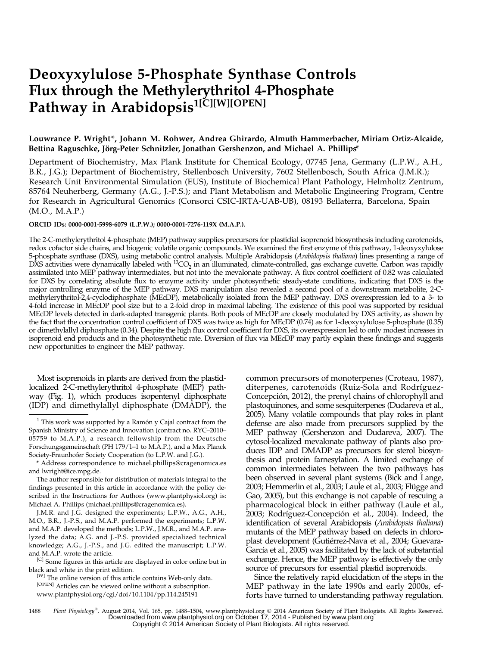# Deoxyxylulose 5-Phosphate Synthase Controls Flux through the Methylerythritol 4-Phosphate Pathway in Arabidopsis<sup>1[C][W][OPEN]</sup>

# Louwrance P. Wright\*, Johann M. Rohwer, Andrea Ghirardo, Almuth Hammerbacher, Miriam Ortiz-Alcaide, Bettina Raguschke, Jörg-Peter Schnitzler, Jonathan Gershenzon, and Michael A. Phillips\*

Department of Biochemistry, Max Plank Institute for Chemical Ecology, 07745 Jena, Germany (L.P.W., A.H., B.R., J.G.); Department of Biochemistry, Stellenbosch University, 7602 Stellenbosch, South Africa (J.M.R.); Research Unit Environmental Simulation (EUS), Institute of Biochemical Plant Pathology, Helmholtz Zentrum, 85764 Neuherberg, Germany (A.G., J.-P.S.); and Plant Metabolism and Metabolic Engineering Program, Centre for Research in Agricultural Genomics (Consorci CSIC-IRTA-UAB-UB), 08193 Bellaterra, Barcelona, Spain (M.O., M.A.P.)

# ORCID IDs: [0000-0001-5998-6079](http://orcid.org/0000-0001-5998-6079) (L.P.W.); [0000-0001-7276-119X](http://orcid.org/0000-0001-7276-119X) (M.A.P.).

The 2-C-methylerythritol 4-phosphate (MEP) pathway supplies precursors for plastidial isoprenoid biosynthesis including carotenoids, redox cofactor side chains, and biogenic volatile organic compounds. We examined the first enzyme of this pathway, 1-deoxyxylulose 5-phosphate synthase (DXS), using metabolic control analysis. Multiple Arabidopsis (*Arabidopsis thaliana*) lines presenting a range of  $DXS$  activities were dynamically labeled with  ${}^{13}CO_2$  in an illuminated, climate-controlled, gas exchange cuvette. Carbon was rapidly assimilated into MEP pathway intermediates, but not into the mevalonate pathway. A flux control coefficient of 0.82 was calculated for DXS by correlating absolute flux to enzyme activity under photosynthetic steady-state conditions, indicating that DXS is the major controlling enzyme of the MEP pathway. DXS manipulation also revealed a second pool of a downstream metabolite, 2-Cmethylerythritol-2,4-cyclodiphosphate (MEcDP), metabolically isolated from the MEP pathway. DXS overexpression led to a 3- to 4-fold increase in MEcDP pool size but to a 2-fold drop in maximal labeling. The existence of this pool was supported by residual MEcDP levels detected in dark-adapted transgenic plants. Both pools of MEcDP are closely modulated by DXS activity, as shown by the fact that the concentration control coefficient of DXS was twice as high for MEcDP (0.74) as for 1-deoxyxylulose 5-phosphate (0.35) or dimethylallyl diphosphate (0.34). Despite the high flux control coefficient for DXS, its overexpression led to only modest increases in isoprenoid end products and in the photosynthetic rate. Diversion of flux via MEcDP may partly explain these findings and suggests new opportunities to engineer the MEP pathway.

Most isoprenoids in plants are derived from the plastidlocalized 2-C-methylerythritol 4-phosphate (MEP) pathway (Fig. 1), which produces isopentenyl diphosphate (IDP) and dimethylallyl diphosphate (DMADP), the

The author responsible for distribution of materials integral to the findings presented in this article in accordance with the policy described in the Instructions for Authors ([www.plantphysiol.org\)](http://www.plantphysiol.org) is: Michael A. Phillips ([michael.phillips@cragenomica.es](mailto:michael.phillips@cragenomica.es)).

J.M.R. and J.G. designed the experiments; L.P.W., A.G., A.H., M.O., B.R., J.-P.S., and M.A.P. performed the experiments; L.P.W. and M.A.P. developed the methods; L.P.W., J.M.R., and M.A.P. analyzed the data; A.G. and J.-P.S. provided specialized technical knowledge; A.G., J.-P.S., and J.G. edited the manuscript; L.P.W. and M.A.P. wrote the article.

<sup>[C]</sup> Some figures in this article are displayed in color online but in black and white in the print edition.

[W] The online version of this article contains Web-only data. [OPEN] Articles can be viewed online without a subscription. [www.plantphysiol.org/cgi/doi/10.1104/pp.114.245191](http://www.plantphysiol.org/cgi/doi/10.1104/pp.114.245191)

common precursors of monoterpenes (Croteau, 1987), diterpenes, carotenoids (Ruiz-Sola and Rodríguez-Concepción, 2012), the prenyl chains of chlorophyll and plastoquinones, and some sesquiterpenes (Dudareva et al., 2005). Many volatile compounds that play roles in plant defense are also made from precursors supplied by the MEP pathway (Gershenzon and Dudareva, 2007). The cytosol-localized mevalonate pathway of plants also produces IDP and DMADP as precursors for sterol biosynthesis and protein farnesylation. A limited exchange of common intermediates between the two pathways has been observed in several plant systems (Bick and Lange, 2003; Hemmerlin et al., 2003; Laule et al., 2003; Flügge and Gao, 2005), but this exchange is not capable of rescuing a pharmacological block in either pathway (Laule et al., 2003; Rodríguez-Concepción et al., 2004). Indeed, the identification of several Arabidopsis (Arabidopsis thaliana) mutants of the MEP pathway based on defects in chloroplast development (Gutiérrez-Nava et al., 2004; Guevara-García et al., 2005) was facilitated by the lack of substantial exchange. Hence, the MEP pathway is effectively the only source of precursors for essential plastid isoprenoids.

Since the relatively rapid elucidation of the steps in the MEP pathway in the late 1990s and early 2000s, efforts have turned to understanding pathway regulation.

1488 Plant Physiology®, August 2014, Vol. 165, pp. 1488–1504, [www.plantphysiol.org](http://www.plantphysiol.org/) © 2014 American Society of Plant Biologists. All Rights Reserved.<br>Downloaded from www.plantphysiol.org on October 17, 2014 - Published by w Copyright © 2014 American Society of Plant Biologists. All rights reserved.

 $1$  This work was supported by a Ramón y Cajal contract from the Spanish Ministry of Science and Innovation (contract no. RYC–2010– 05759 to M.A.P.), a research fellowship from the Deutsche Forschungsgemeinschaft (PH 179/1–1 to M.A.P.), and a Max Planck Society-Fraunhofer Society Cooperation (to L.P.W. and J.G.).

<sup>\*</sup> Address correspondence to [michael.phillips@cragenomica.es](mailto:michael.phillips@cragenomica.es) [and lwright@ice.mpg.de](mailto:and lwright@ice.mpg.de).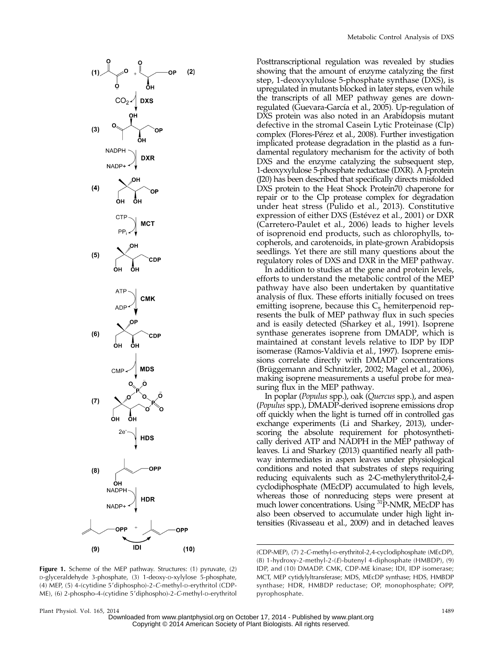

Posttranscriptional regulation was revealed by studies showing that the amount of enzyme catalyzing the first step, 1-deoxyxylulose 5-phosphate synthase (DXS), is upregulated in mutants blocked in later steps, even while the transcripts of all MEP pathway genes are downregulated (Guevara-García et al., 2005). Up-regulation of DXS protein was also noted in an Arabidopsis mutant defective in the stromal Casein Lytic Proteinase (Clp) complex (Flores-Pérez et al., 2008). Further investigation implicated protease degradation in the plastid as a fundamental regulatory mechanism for the activity of both DXS and the enzyme catalyzing the subsequent step, 1-deoxyxylulose 5-phosphate reductase (DXR). A J-protein (J20) has been described that specifically directs misfolded DXS protein to the Heat Shock Protein70 chaperone for repair or to the Clp protease complex for degradation under heat stress (Pulido et al., 2013). Constitutive expression of either DXS (Estévez et al., 2001) or DXR (Carretero-Paulet et al., 2006) leads to higher levels of isoprenoid end products, such as chlorophylls, tocopherols, and carotenoids, in plate-grown Arabidopsis seedlings. Yet there are still many questions about the regulatory roles of DXS and DXR in the MEP pathway.

In addition to studies at the gene and protein levels, efforts to understand the metabolic control of the MEP pathway have also been undertaken by quantitative analysis of flux. These efforts initially focused on trees emitting isoprene, because this  $C_5$  hemiterpenoid represents the bulk of MEP pathway flux in such species and is easily detected (Sharkey et al., 1991). Isoprene synthase generates isoprene from DMADP, which is maintained at constant levels relative to IDP by IDP isomerase (Ramos-Valdivia et al., 1997). Isoprene emissions correlate directly with DMADP concentrations (Brüggemann and Schnitzler, 2002; Magel et al., 2006), making isoprene measurements a useful probe for measuring flux in the MEP pathway.

In poplar (Populus spp.), oak (Quercus spp.), and aspen (Populus spp.), DMADP-derived isoprene emissions drop off quickly when the light is turned off in controlled gas exchange experiments (Li and Sharkey, 2013), underscoring the absolute requirement for photosynthetically derived ATP and NADPH in the MEP pathway of leaves. Li and Sharkey (2013) quantified nearly all pathway intermediates in aspen leaves under physiological conditions and noted that substrates of steps requiring reducing equivalents such as 2-C-methylerythritol-2,4 cyclodiphosphate (MEcDP) accumulated to high levels, whereas those of nonreducing steps were present at much lower concentrations. Using <sup>31</sup>P-NMR, MEcDP has also been observed to accumulate under high light intensities (Rivasseau et al., 2009) and in detached leaves

(CDP-MEP), (7) 2-C-methyl-D-erythritol-2,4-cyclodiphosphate (MEcDP), (8) 1-hydroxy-2-methyl-2-(E)-butenyl 4-diphosphate (HMBDP), (9) IDP, and (10) DMADP. CMK, CDP-ME kinase; IDI, IDP isomerase; MCT, MEP cytidylyltransferase; MDS, MEcDP synthase; HDS, HMBDP synthase; HDR, HMBDP reductase; OP, monophosphate; OPP, pyrophosphate.

Figure 1. Scheme of the MEP pathway. Structures: (1) pyruvate, (2) D-glyceraldehyde 3-phosphate, (3) 1-deoxy-D-xylylose 5-phosphate, (4) MEP, (5) 4-(cytidine 5'diphospho)-2-C-methyl-D-erythritol (CDP-ME), (6) 2-phospho-4-(cytidine 5'diphospho)-2-C-methyl-p-erythritol

Plant Physiol. Vol. 165, 2014 1489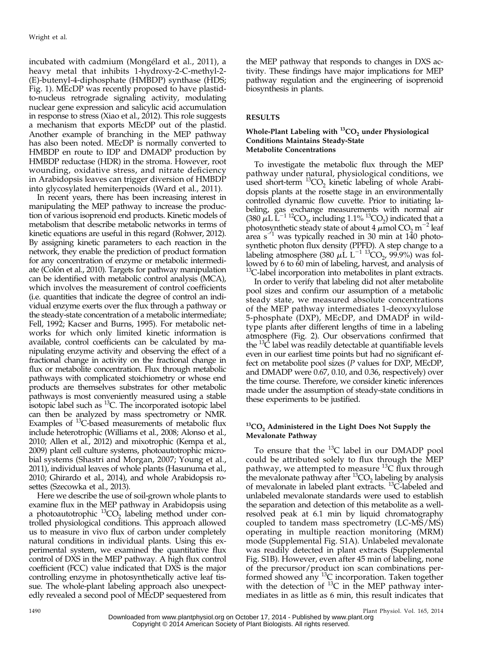incubated with cadmium (Mongélard et al., 2011), a heavy metal that inhibits 1-hydroxy-2-C-methyl-2- (E)-butenyl-4-diphosphate (HMBDP) synthase (HDS; Fig. 1). MEcDP was recently proposed to have plastidto-nucleus retrograde signaling activity, modulating nuclear gene expression and salicylic acid accumulation in response to stress (Xiao et al., 2012). This role suggests a mechanism that exports MEcDP out of the plastid. Another example of branching in the MEP pathway has also been noted. MEcDP is normally converted to HMBDP en route to IDP and DMADP production by HMBDP reductase (HDR) in the stroma. However, root wounding, oxidative stress, and nitrate deficiency in Arabidopsis leaves can trigger diversion of HMBDP into glycosylated hemiterpenoids (Ward et al., 2011).

In recent years, there has been increasing interest in manipulating the MEP pathway to increase the production of various isoprenoid end products. Kinetic models of metabolism that describe metabolic networks in terms of kinetic equations are useful in this regard (Rohwer, 2012). By assigning kinetic parameters to each reaction in the network, they enable the prediction of product formation for any concentration of enzyme or metabolic intermediate (Colón et al., 2010). Targets for pathway manipulation can be identified with metabolic control analysis (MCA), which involves the measurement of control coefficients (i.e. quantities that indicate the degree of control an individual enzyme exerts over the flux through a pathway or the steady-state concentration of a metabolic intermediate; Fell, 1992; Kacser and Burns, 1995). For metabolic networks for which only limited kinetic information is available, control coefficients can be calculated by manipulating enzyme activity and observing the effect of a fractional change in activity on the fractional change in flux or metabolite concentration. Flux through metabolic pathways with complicated stoichiometry or whose end products are themselves substrates for other metabolic pathways is most conveniently measured using a stable isotopic label such as  ${}^{13}C$ . The incorporated isotopic label can then be analyzed by mass spectrometry or NMR. Examples of  ${}^{13}C$ -based measurements of metabolic flux include heterotrophic (Williams et al., 2008; Alonso et al., 2010; Allen et al., 2012) and mixotrophic (Kempa et al., 2009) plant cell culture systems, photoautotrophic microbial systems (Shastri and Morgan, 2007; Young et al., 2011), individual leaves of whole plants (Hasunuma et al., 2010; Ghirardo et al., 2014), and whole Arabidopsis rosettes (Szecowka et al., 2013).

Here we describe the use of soil-grown whole plants to examine flux in the MEP pathway in Arabidopsis using a photoautotrophic  ${}^{13}CO_2$  labeling method under controlled physiological conditions. This approach allowed us to measure in vivo flux of carbon under completely natural conditions in individual plants. Using this experimental system, we examined the quantitative flux control of DXS in the MEP pathway. A high flux control coefficient (FCC) value indicated that DXS is the major controlling enzyme in photosynthetically active leaf tissue. The whole-plant labeling approach also unexpectedly revealed a second pool of MEcDP sequestered from

the MEP pathway that responds to changes in DXS activity. These findings have major implications for MEP pathway regulation and the engineering of isoprenoid biosynthesis in plants.

# RESULTS

# Whole-Plant Labeling with  $^{13}CO_{2}$  under Physiological Conditions Maintains Steady-State Metabolite Concentrations

To investigate the metabolic flux through the MEP pathway under natural, physiological conditions, we used short-term  ${}^{13}CO$ , kinetic labeling of whole Arabidopsis plants at the rosette stage in an environmentally controlled dynamic flow cuvette. Prior to initiating labeling, gas exchange measurements with normal air (380  $\mu$ L L<sup>-1 12</sup>CO<sub>2</sub>, including 1.1% <sup>13</sup>CO<sub>2</sub>) indicated that a photosynthetic steady state of about 4  $\mu$ mol CO<sub>2</sub> m<sup>-2</sup> leaf area s<sup> $-1$ </sup> was typically reached in 30 min at 140 photosynthetic photon flux density (PPFD). A step change to a labeling atmosphere (380  $\mu$ L L<sup>-1 13</sup>CO<sub>2</sub>, 99.9%) was followed by 6 to 60 min of labeling, harvest, and analysis of <sup>13</sup>C-label incorporation into metabolites in plant extracts.

In order to verify that labeling did not alter metabolite pool sizes and confirm our assumption of a metabolic steady state, we measured absolute concentrations of the MEP pathway intermediates 1-deoxyxylulose 5-phosphate (DXP), MEcDP, and DMADP in wildtype plants after different lengths of time in a labeling atmosphere (Fig. 2). Our observations confirmed that the <sup>13</sup>C label was readily detectable at quantifiable levels even in our earliest time points but had no significant effect on metabolite pool sizes (P values for DXP, MEcDP, and DMADP were 0.67, 0.10, and 0.36, respectively) over the time course. Therefore, we consider kinetic inferences made under the assumption of steady-state conditions in these experiments to be justified.

# $^{13}$ CO<sub>2</sub> Administered in the Light Does Not Supply the Mevalonate Pathway

To ensure that the  $^{13}$ C label in our DMADP pool could be attributed solely to flux through the MEP pathway, we attempted to measure  $^{13}$ C flux through pathway, we attempted to measure  $\frac{13}{2}$  labeling by analysis of mevalonate in labeled plant extracts. <sup>13</sup>C-labeled and unlabeled mevalonate standards were used to establish the separation and detection of this metabolite as a wellresolved peak at 6.1 min by liquid chromatography coupled to tandem mass spectrometry (LC-MS/MS) operating in multiple reaction monitoring (MRM) mode [\(Supplemental Fig. S1A\)](http://www.plantphysiol.org/cgi/content/full/pp.114.245191/DC1). Unlabeled mevalonate was readily detected in plant extracts ([Supplemental](http://www.plantphysiol.org/cgi/content/full/pp.114.245191/DC1) [Fig. S1B](http://www.plantphysiol.org/cgi/content/full/pp.114.245191/DC1)). However, even after 45 min of labeling, none of the precursor/product ion scan combinations performed showed any <sup>13</sup>C incorporation. Taken together with the detection of  $^{13}C$  in the MEP pathway intermediates in as little as 6 min, this result indicates that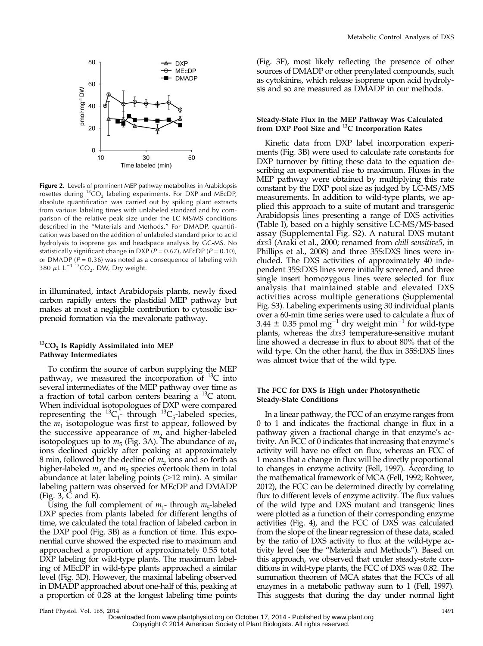

Figure 2. Levels of prominent MEP pathway metabolites in Arabidopsis rosettes during  ${}^{13}CO<sub>2</sub>$  labeling experiments. For DXP and MEcDP, absolute quantification was carried out by spiking plant extracts from various labeling times with unlabeled standard and by comparison of the relative peak size under the LC-MS/MS conditions described in the "Materials and Methods." For DMADP, quantification was based on the addition of unlabeled standard prior to acid hydrolysis to isoprene gas and headspace analysis by GC-MS. No statistically significant change in DXP ( $P = 0.67$ ), MEcDP ( $P = 0.10$ ), or DMADP ( $P = 0.36$ ) was noted as a consequence of labeling with 380  $\mu$ L L<sup>-1 13</sup>CO<sub>2</sub>. DW, Dry weight.

in illuminated, intact Arabidopsis plants, newly fixed carbon rapidly enters the plastidial MEP pathway but makes at most a negligible contribution to cytosolic isoprenoid formation via the mevalonate pathway.

# $^{13}CO<sub>2</sub>$  Is Rapidly Assimilated into MEP Pathway Intermediates

To confirm the source of carbon supplying the MEP pathway, we measured the incorporation of  $^{13}C$  into several intermediates of the MEP pathway over time as a fraction of total carbon centers bearing a  $^{13}C$  atom. When individual isotopologues of DXP were compared representing the  ${}^{13}C_1$ - through  ${}^{13}C_5$ -labeled species, the  $m_1$  isotopologue was first to appear, followed by the successive appearance of  $m_2$  and higher-labeled isotopologues up to  $m<sub>5</sub>$  (Fig. 3A). The abundance of  $m<sub>1</sub>$ ions declined quickly after peaking at approximately 8 min, followed by the decline of  $m<sub>2</sub>$  ions and so forth as higher-labeled  $m_4$  and  $m_5$  species overtook them in total abundance at later labeling points (>12 min). A similar labeling pattern was observed for MEcDP and DMADP (Fig. 3, C and E).

Using the full complement of  $m_1$ - through  $m_5$ -labeled DXP species from plants labeled for different lengths of time, we calculated the total fraction of labeled carbon in the DXP pool (Fig. 3B) as a function of time. This exponential curve showed the expected rise to maximum and approached a proportion of approximately 0.55 total DXP labeling for wild-type plants. The maximum labeling of MEcDP in wild-type plants approached a similar level (Fig. 3D). However, the maximal labeling observed in DMADP approached about one-half of this, peaking at a proportion of 0.28 at the longest labeling time points

(Fig. 3F), most likely reflecting the presence of other sources of DMADP or other prenylated compounds, such as cytokinins, which release isoprene upon acid hydrolysis and so are measured as DMADP in our methods.

# Steady-State Flux in the MEP Pathway Was Calculated from DXP Pool Size and <sup>13</sup>C Incorporation Rates

Kinetic data from DXP label incorporation experiments (Fig. 3B) were used to calculate rate constants for DXP turnover by fitting these data to the equation describing an exponential rise to maximum. Fluxes in the MEP pathway were obtained by multiplying this rate constant by the DXP pool size as judged by LC-MS/MS measurements. In addition to wild-type plants, we applied this approach to a suite of mutant and transgenic Arabidopsis lines presenting a range of DXS activities (Table I), based on a highly sensitive LC-MS/MS-based assay ([Supplemental Fig. S2\)](http://www.plantphysiol.org/cgi/content/full/pp.114.245191/DC1). A natural DXS mutant dxs3 (Araki et al., 2000; renamed from chill sensitive5, in Phillips et al., 2008) and three 35S:DXS lines were included. The DXS activities of approximately 40 independent 35S:DXS lines were initially screened, and three single insert homozygous lines were selected for flux analysis that maintained stable and elevated DXS activities across multiple generations [\(Supplemental](http://www.plantphysiol.org/cgi/content/full/pp.114.245191/DC1) [Fig. S3\)](http://www.plantphysiol.org/cgi/content/full/pp.114.245191/DC1). Labeling experiments using 30 individual plants over a 60-min time series were used to calculate a flux of 3.44  $\pm$  0.35 pmol mg<sup>-1</sup> dry weight min<sup>-1</sup> for wild-type plants, whereas the *dxs3* temperature-sensitive mutant line showed a decrease in flux to about 80% that of the wild type. On the other hand, the flux in 35S:DXS lines was almost twice that of the wild type.

#### The FCC for DXS Is High under Photosynthetic Steady-State Conditions

In a linear pathway, the FCC of an enzyme ranges from 0 to 1 and indicates the fractional change in flux in a pathway given a fractional change in that enzyme's activity. An FCC of 0 indicates that increasing that enzyme's activity will have no effect on flux, whereas an FCC of 1 means that a change in flux will be directly proportional to changes in enzyme activity (Fell, 1997). According to the mathematical framework of MCA (Fell, 1992; Rohwer, 2012), the FCC can be determined directly by correlating flux to different levels of enzyme activity. The flux values of the wild type and DXS mutant and transgenic lines were plotted as a function of their corresponding enzyme activities (Fig. 4), and the FCC of DXS was calculated from the slope of the linear regression of these data, scaled by the ratio of DXS activity to flux at the wild-type activity level (see the "Materials and Methods"). Based on this approach, we observed that under steady-state conditions in wild-type plants, the FCC of DXS was 0.82. The summation theorem of MCA states that the FCCs of all enzymes in a metabolic pathway sum to 1 (Fell, 1997). This suggests that during the day under normal light

Plant Physiol. Vol. 165, 2014 1491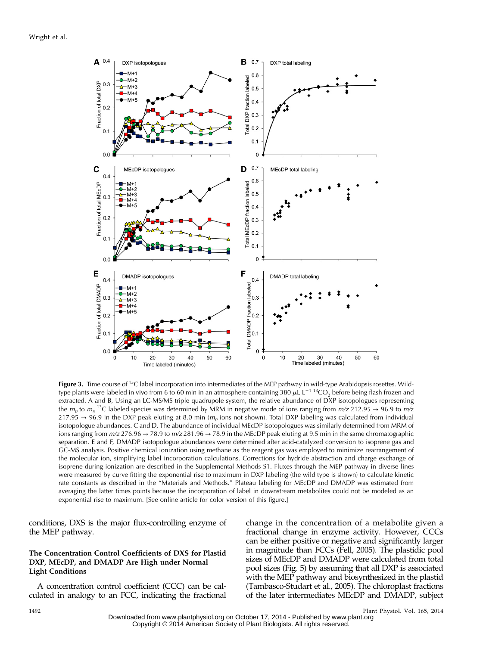Wright et al.



Figure 3. Time course of  $^{13}C$  label incorporation into intermediates of the MEP pathway in wild-type Arabidopsis rosettes. Wildtype plants were labeled in vivo from 6 to 60 min in an atmosphere containing 380  $\mu$ L L<sup>-1 13</sup>CO<sub>2</sub> before being flash frozen and extracted. A and B, Using an LC-MS/MS triple quadrupole system, the relative abundance of DXP isotopologues representing the  $m_0$  to  $m_5$   $^{13}$ C labeled species was determined by MRM in negative mode of ions ranging from  $m$ /z 212.95  $\to$  96.9 to  $m$ /z 217.95 → 96.9 in the DXP peak eluting at 8.0 min ( $m<sub>o</sub>$  ions not shown). Total DXP labeling was calculated from individual isotopologue abundances. C and D, The abundance of individual MEcDP isotopologues was similarly determined from MRM of ions ranging from  $m/z$  276.96  $\rightarrow$  78.9 to  $m/z$  281.96  $\rightarrow$  78.9 in the MEcDP peak eluting at 9.5 min in the same chromatographic separation. E and F, DMADP isotopologue abundances were determined after acid-catalyzed conversion to isoprene gas and GC-MS analysis. Positive chemical ionization using methane as the reagent gas was employed to minimize rearrangement of the molecular ion, simplifying label incorporation calculations. Corrections for hydride abstraction and charge exchange of isoprene during ionization are described in the [Supplemental Methods S1](http://www.plantphysiol.org/cgi/content/full/pp.114.245191/DC1). Fluxes through the MEP pathway in diverse lines were measured by curve fitting the exponential rise to maximum in DXP labeling (the wild type is shown) to calculate kinetic rate constants as described in the "Materials and Methods." Plateau labeling for MEcDP and DMADP was estimated from averaging the latter times points because the incorporation of label in downstream metabolites could not be modeled as an exponential rise to maximum. [See online article for color version of this figure.]

conditions, DXS is the major flux-controlling enzyme of the MEP pathway.

# The Concentration Control Coefficients of DXS for Plastid DXP, MEcDP, and DMADP Are High under Normal Light Conditions

A concentration control coefficient (CCC) can be calculated in analogy to an FCC, indicating the fractional

change in the concentration of a metabolite given a fractional change in enzyme activity. However, CCCs can be either positive or negative and significantly larger in magnitude than FCCs (Fell, 2005). The plastidic pool sizes of MEcDP and DMADP were calculated from total pool sizes (Fig. 5) by assuming that all DXP is associated with the MEP pathway and biosynthesized in the plastid (Tambasco-Studart et al., 2005). The chloroplast fractions of the later intermediates MEcDP and DMADP, subject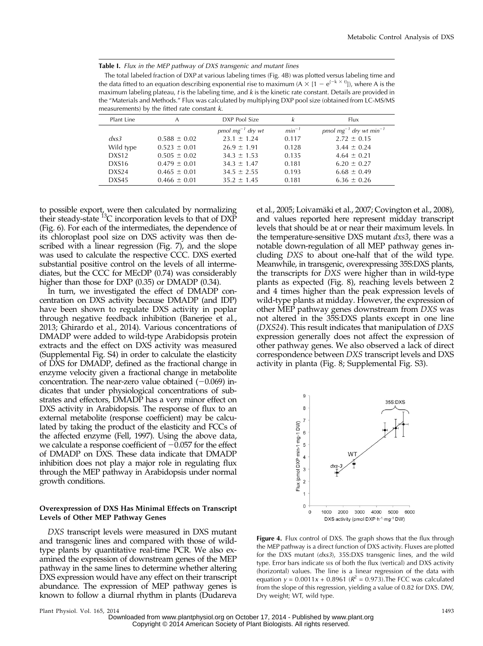Table I. Flux in the MEP pathway of DXS transgenic and mutant lines

The total labeled fraction of DXP at various labeling times (Fig. 4B) was plotted versus labeling time and the data fitted to an equation describing exponential rise to maximum (A  $\times$  [1 – e<sup>{-k  $\times$  t}</sup>]), where A is the maximum labeling plateau, t is the labeling time, and k is the kinetic rate constant. Details are provided in the "Materials and Methods." Flux was calculated by multiplying DXP pool size (obtained from LC-MS/MS measurements) by the fitted rate constant k.

| Plant Line        | А                | DXP Pool Size         | k          | <b>Flux</b>                             |
|-------------------|------------------|-----------------------|------------|-----------------------------------------|
|                   |                  | pmol $mg^{-1}$ dry wt | $min^{-1}$ | pmol $mg^{-1}$ dry wt min <sup>-1</sup> |
| dx <sub>53</sub>  | $0.588 \pm 0.02$ | $23.1 \pm 1.24$       | 0.117      | $2.72 \pm 0.15$                         |
| Wild type         | $0.523 \pm 0.01$ | $26.9 \pm 1.91$       | 0.128      | $3.44 \pm 0.24$                         |
| DXS <sub>12</sub> | $0.505 \pm 0.02$ | $34.3 \pm 1.53$       | 0.135      | $4.64 \pm 0.21$                         |
| DXS <sub>16</sub> | $0.479 \pm 0.01$ | $34.3 \pm 1.47$       | 0.181      | $6.20 \pm 0.27$                         |
| DXS <sub>24</sub> | $0.465 \pm 0.01$ | $34.5 \pm 2.55$       | 0.193      | $6.68 \pm 0.49$                         |
| DXS45             | $0.466 \pm 0.01$ | $35.2 \pm 1.45$       | 0.181      | $6.36 \pm 0.26$                         |
|                   |                  |                       |            |                                         |

to possible export, were then calculated by normalizing their steady-state  ${}^{13}C$  incorporation levels to that of DXP (Fig. 6). For each of the intermediates, the dependence of its chloroplast pool size on DXS activity was then described with a linear regression (Fig. 7), and the slope was used to calculate the respective CCC. DXS exerted substantial positive control on the levels of all intermediates, but the CCC for MEcDP (0.74) was considerably higher than those for DXP (0.35) or DMADP (0.34).

In turn, we investigated the effect of DMADP concentration on DXS activity because DMADP (and IDP) have been shown to regulate DXS activity in poplar through negative feedback inhibition (Banerjee et al., 2013; Ghirardo et al., 2014). Various concentrations of DMADP were added to wild-type Arabidopsis protein extracts and the effect on DXS activity was measured [\(Supplemental Fig. S4](http://www.plantphysiol.org/cgi/content/full/pp.114.245191/DC1)) in order to calculate the elasticity of DXS for DMADP, defined as the fractional change in enzyme velocity given a fractional change in metabolite concentration. The near-zero value obtained  $(-0.069)$  indicates that under physiological concentrations of substrates and effectors, DMADP has a very minor effect on DXS activity in Arabidopsis. The response of flux to an external metabolite (response coefficient) may be calculated by taking the product of the elasticity and FCCs of the affected enzyme (Fell, 1997). Using the above data, we calculate a response coefficient of  $-0.057$  for the effect of DMADP on DXS. These data indicate that DMADP inhibition does not play a major role in regulating flux through the MEP pathway in Arabidopsis under normal growth conditions.

#### Overexpression of DXS Has Minimal Effects on Transcript Levels of Other MEP Pathway Genes

DXS transcript levels were measured in DXS mutant and transgenic lines and compared with those of wildtype plants by quantitative real-time PCR. We also examined the expression of downstream genes of the MEP pathway in the same lines to determine whether altering DXS expression would have any effect on their transcript abundance. The expression of MEP pathway genes is known to follow a diurnal rhythm in plants (Dudareva et al., 2005; Loivamäki et al., 2007; Covington et al., 2008), and values reported here represent midday transcript levels that should be at or near their maximum levels. In the temperature-sensitive DXS mutant *dxs3*, there was a notable down-regulation of all MEP pathway genes including DXS to about one-half that of the wild type. Meanwhile, in transgenic, overexpressing 35S:DXS plants, the transcripts for DXS were higher than in wild-type plants as expected (Fig. 8), reaching levels between 2 and 4 times higher than the peak expression levels of wild-type plants at midday. However, the expression of other MEP pathway genes downstream from DXS was not altered in the 35S:DXS plants except in one line (DXS24). This result indicates that manipulation of DXS expression generally does not affect the expression of other pathway genes. We also observed a lack of direct correspondence between DXS transcript levels and DXS activity in planta (Fig. 8; [Supplemental Fig. S3\)](http://www.plantphysiol.org/cgi/content/full/pp.114.245191/DC1).



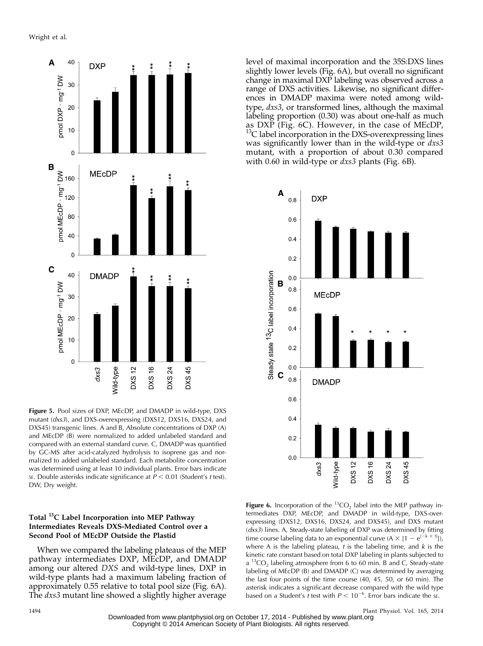

Figure 5. Pool sizes of DXP, MEcDP, and DMADP in wild-type, DXS mutant (dxs3), and DXS-overexpressing (DXS12, DXS16, DXS24, and DXS45) transgenic lines. A and B, Absolute concentrations of DXP (A) and MEcDP (B) were normalized to added unlabeled standard and compared with an external standard curve. C, DMADP was quantified by GC-MS after acid-catalyzed hydrolysis to isoprene gas and normalized to added unlabeled standard. Each metabolite concentration was determined using at least 10 individual plants. Error bars indicate SE. Double asterisks indicate significance at  $P < 0.01$  (Student's t test). DW, Dry weight.

# Total <sup>13</sup>C Label Incorporation into MEP Pathway Intermediates Reveals DXS-Mediated Control over a Second Pool of MEcDP Outside the Plastid

When we compared the labeling plateaus of the MEP pathway intermediates DXP, MEcDP, and DMADP among our altered DXS and wild-type lines, DXP in wild-type plants had a maximum labeling fraction of approximately 0.55 relative to total pool size (Fig. 6A). The *dxs3* mutant line showed a slightly higher average

level of maximal incorporation and the 35S:DXS lines slightly lower levels (Fig. 6A), but overall no significant change in maximal DXP labeling was observed across a range of DXS activities. Likewise, no significant differences in DMADP maxima were noted among wildtype, *dxs3*, or transformed lines, although the maximal labeling proportion (0.30) was about one-half as much as DXP (Fig. 6C). However, in the case of MEcDP, <sup>13</sup>C label incorporation in the DXS-overexpressing lines was significantly lower than in the wild-type or  $dx\approx$ mutant, with a proportion of about 0.30 compared with 0.60 in wild-type or *dxs3* plants (Fig. 6B).



Figure 6. Incorporation of the <sup>13</sup>CO<sub>2</sub> label into the MEP pathway intermediates DXP, MEcDP, and DMADP in wild-type, DXS-overexpressing (DXS12, DXS16, DXS24, and DXS45), and DXS mutant (dxs3) lines. A, Steady-state labeling of DXP was determined by fitting time course labeling data to an exponential curve  $(A \times [1 - e^{(-k \times t)}])$ , where A is the labeling plateau,  $t$  is the labeling time, and  $k$  is the kinetic rate constant based on total DXP labeling in plants subjected to  $a<sup>13</sup>CO$ , labeling atmosphere from 6 to 60 min. B and C, Steady-state labeling of MEcDP (B) and DMADP (C) was determined by averaging the last four points of the time course (40, 45, 50, or 60 min). The asterisk indicates a significant decrease compared with the wild type based on a Student's t test with  $P < 10^{-6}$ . Error bars indicate the se.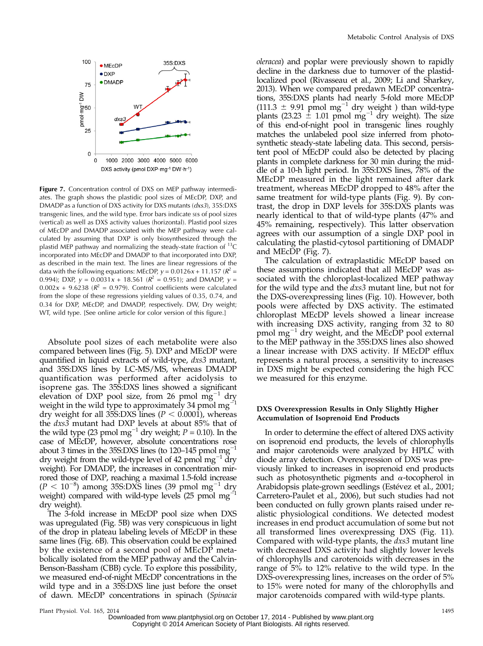

Figure 7. Concentration control of DXS on MEP pathway intermediates. The graph shows the plastidic pool sizes of MEcDP, DXP, and DMADP as a function of DXS activity for DXS mutants (dxs3), 35S:DXS transgenic lines, and the wild type. Error bars indicate ses of pool sizes (vertical) as well as DXS activity values (horizontal). Plastid pool sizes of MEcDP and DMADP associated with the MEP pathway were calculated by assuming that DXP is only biosynthesized through the plastid MEP pathway and normalizing the steady-state fraction of  $^{13}C$ incorporated into MEcDP and DMADP to that incorporated into DXP, as described in the main text. The lines are linear regressions of the data with the following equations: MEcDP,  $y = 0.0126x + 11.157$  ( $R^2 =$ 0.994); DXP,  $y = 0.0031x + 18.561$  ( $R^2 = 0.951$ ); and DMADP,  $y =$  $0.002x + 9.6238$  ( $R^2 = 0.979$ ). Control coefficients were calculated from the slope of these regressions yielding values of 0.35, 0.74, and 0.34 for DXP, MEcDP, and DMADP, respectively. DW, Dry weight; WT, wild type. [See online article for color version of this figure.]

Absolute pool sizes of each metabolite were also compared between lines (Fig. 5). DXP and MEcDP were quantified in liquid extracts of wild-type,  $dx$ s3 mutant, and 35S:DXS lines by LC-MS/MS, whereas DMADP quantification was performed after acidolysis to isoprene gas. The 35S:DXS lines showed a significant elevation of DXP pool size, from 26 pmol  $mg^{-1}$  dry weight in the wild type to approximately 34 pmol  $mg$ <sup>-1</sup> dry weight for all 35S:DXS lines ( $P < 0.0001$ ), whereas the dxs3 mutant had DXP levels at about 85% that of the wild type (23 pmol mg<sup>-1</sup> dry weight;  $P = 0.10$ ). In the case of MEcDP, however, absolute concentrations rose about 3 times in the 35S:DXS lines (to 120–145 pmol  $mg^{-1}$ dry weight from the wild-type level of 42 pmol  $mg^{-1}$  dry weight). For DMADP, the increases in concentration mirrored those of DXP, reaching a maximal 1.5-fold increase  $(P < 10^{-8})$  among 35S:DXS lines (39 pmol mg<sup>-1</sup> dry weight) compared with wild-type levels (25 pmol  $mg$ <sup>-</sup> dry weight).

The 3-fold increase in MEcDP pool size when DXS was upregulated (Fig. 5B) was very conspicuous in light of the drop in plateau labeling levels of MEcDP in these same lines (Fig. 6B). This observation could be explained by the existence of a second pool of MEcDP metabolically isolated from the MEP pathway and the Calvin-Benson-Bassham (CBB) cycle. To explore this possibility, we measured end-of-night MEcDP concentrations in the wild type and in a 35S:DXS line just before the onset of dawn. MEcDP concentrations in spinach (Spinacia oleracea) and poplar were previously shown to rapidly decline in the darkness due to turnover of the plastidlocalized pool (Rivasseau et al., 2009; Li and Sharkey, 2013). When we compared predawn MEcDP concentrations, 35S:DXS plants had nearly 5-fold more MEcDP  $(111.3 \pm 9.91 \text{ p} \text{mol} \text{mg}^{-1} \text{ dry weight})$  than wild-type plants  $(23.23 \pm 1.01 \text{ pmol mg}^{-1} \text{ dry weight})$ . The size of this end-of-night pool in transgenic lines roughly matches the unlabeled pool size inferred from photosynthetic steady-state labeling data. This second, persistent pool of MEcDP could also be detected by placing plants in complete darkness for 30 min during the middle of a 10-h light period. In 35S:DXS lines, 78% of the MEcDP measured in the light remained after dark treatment, whereas MEcDP dropped to 48% after the same treatment for wild-type plants (Fig. 9). By contrast, the drop in DXP levels for 35S:DXS plants was nearly identical to that of wild-type plants (47% and 45% remaining, respectively). This latter observation agrees with our assumption of a single DXP pool in calculating the plastid-cytosol partitioning of DMADP and MEcDP (Fig. 7).

The calculation of extraplastidic MEcDP based on these assumptions indicated that all MEcDP was associated with the chloroplast-localized MEP pathway for the wild type and the dxs3 mutant line, but not for the DXS-overexpressing lines (Fig. 10). However, both pools were affected by DXS activity. The estimated chloroplast MEcDP levels showed a linear increase with increasing DXS activity, ranging from 32 to 80 pmol mg $^{-1}$  dry weight, and the MEcDP pool external to the MEP pathway in the 35S:DXS lines also showed a linear increase with DXS activity. If MEcDP efflux represents a natural process, a sensitivity to increases in DXS might be expected considering the high FCC we measured for this enzyme.

# DXS Overexpression Results in Only Slightly Higher Accumulation of Isoprenoid End Products

In order to determine the effect of altered DXS activity on isoprenoid end products, the levels of chlorophylls and major carotenoids were analyzed by HPLC with diode array detection. Overexpression of DXS was previously linked to increases in isoprenoid end products such as photosynthetic pigments and  $\alpha$ -tocopherol in Arabidopsis plate-grown seedlings (Estévez et al., 2001; Carretero-Paulet et al., 2006), but such studies had not been conducted on fully grown plants raised under realistic physiological conditions. We detected modest increases in end product accumulation of some but not all transformed lines overexpressing DXS (Fig. 11). Compared with wild-type plants, the dxs3 mutant line with decreased DXS activity had slightly lower levels of chlorophylls and carotenoids with decreases in the range of 5% to 12% relative to the wild type. In the DXS-overexpressing lines, increases on the order of 5% to 15% were noted for many of the chlorophylls and major carotenoids compared with wild-type plants.

Downloaded from [www.plantphysiol.org](http://www.plantphysiol.org/) on October 17, 2014 - Published by [www.plant.org](http://www.plant.org) Copyright © 2014 American Society of Plant Biologists. All rights reserved.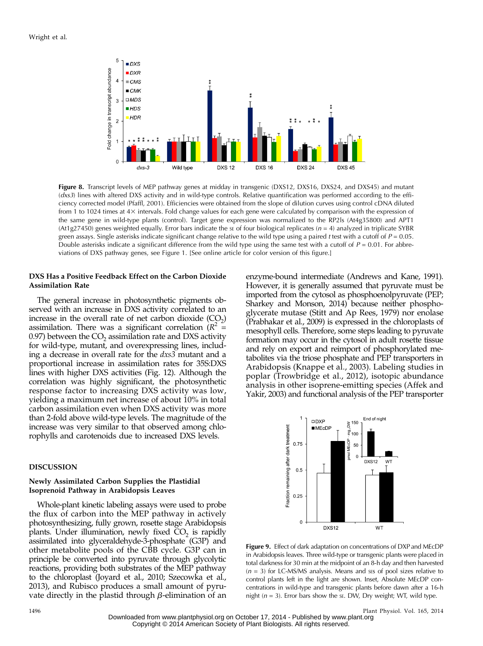

Figure 8. Transcript levels of MEP pathway genes at midday in transgenic (DXS12, DXS16, DXS24, and DXS45) and mutant (dxs3) lines with altered DXS activity and in wild-type controls. Relative quantification was performed according to the efficiency corrected model (Pfaffl, 2001). Efficiencies were obtained from the slope of dilution curves using control cDNA diluted from 1 to 1024 times at 43 intervals. Fold change values for each gene were calculated by comparison with the expression of the same gene in wild-type plants (control). Target gene expression was normalized to the RP2ls (At4g35800) and APT1 (At1g27450) genes weighted equally. Error bars indicate the se of four biological replicates ( $n = 4$ ) analyzed in triplicate SYBR green assays. Single asterisks indicate significant change relative to the wild type using a paired t test with a cutoff of  $P = 0.05$ . Double asterisks indicate a significant difference from the wild type using the same test with a cutoff of  $P = 0.01$ . For abbreviations of DXS pathway genes, see Figure 1. [See online article for color version of this figure.]

## DXS Has a Positive Feedback Effect on the Carbon Dioxide Assimilation Rate

The general increase in photosynthetic pigments observed with an increase in DXS activity correlated to an increase in the overall rate of net carbon dioxide  $(CO<sub>2</sub>)$ assimilation. There was a significant correlation ( $R^2$  = 0.97) between the  $CO<sub>2</sub>$  assimilation rate and DXS activity for wild-type, mutant, and overexpressing lines, including a decrease in overall rate for the dxs3 mutant and a proportional increase in assimilation rates for 35S:DXS lines with higher DXS activities (Fig. 12). Although the correlation was highly significant, the photosynthetic response factor to increasing DXS activity was low, yielding a maximum net increase of about 10% in total carbon assimilation even when DXS activity was more than 2-fold above wild-type levels. The magnitude of the increase was very similar to that observed among chlorophylls and carotenoids due to increased DXS levels.

#### DISCUSSION

#### Newly Assimilated Carbon Supplies the Plastidial Isoprenoid Pathway in Arabidopsis Leaves

Whole-plant kinetic labeling assays were used to probe the flux of carbon into the MEP pathway in actively photosynthesizing, fully grown, rosette stage Arabidopsis plants. Under illumination, newly fixed  $CO<sub>2</sub>$  is rapidly assimilated into glyceraldehyde-3-phosphate (G3P) and other metabolite pools of the CBB cycle. G3P can in principle be converted into pyruvate through glycolytic reactions, providing both substrates of the MEP pathway to the chloroplast (Joyard et al., 2010; Szecowka et al., 2013), and Rubisco produces a small amount of pyruvate directly in the plastid through  $\beta$ -elimination of an

enzyme-bound intermediate (Andrews and Kane, 1991). However, it is generally assumed that pyruvate must be imported from the cytosol as phosphoenolpyruvate (PEP; Sharkey and Monson, 2014) because neither phosphoglycerate mutase (Stitt and Ap Rees, 1979) nor enolase (Prabhakar et al., 2009) is expressed in the chloroplasts of mesophyll cells. Therefore, some steps leading to pyruvate formation may occur in the cytosol in adult rosette tissue and rely on export and reimport of phosphorylated metabolites via the triose phosphate and PEP transporters in Arabidopsis (Knappe et al., 2003). Labeling studies in poplar (Trowbridge et al., 2012), isotopic abundance analysis in other isoprene-emitting species (Affek and Yakir, 2003) and functional analysis of the PEP transporter



Figure 9. Effect of dark adaptation on concentrations of DXP and MEcDP in Arabidopsis leaves. Three wild-type or transgenic plants were placed in total darkness for 30 min at the midpoint of an 8-h day and then harvested  $(n = 3)$  for LC-MS/MS analysis. Means and ses of pool sizes relative to control plants left in the light are shown. Inset, Absolute MEcDP concentrations in wild-type and transgenic plants before dawn after a 16-h night ( $n = 3$ ). Error bars show the se. DW, Dry weight; WT, wild type.

1496 Plant Physiol. Vol. 165, 2014

Downloaded from [www.plantphysiol.org](http://www.plantphysiol.org/) on October 17, 2014 - Published by [www.plant.org](http://www.plant.org)

Copyright © 2014 American Society of Plant Biologists. All rights reserved.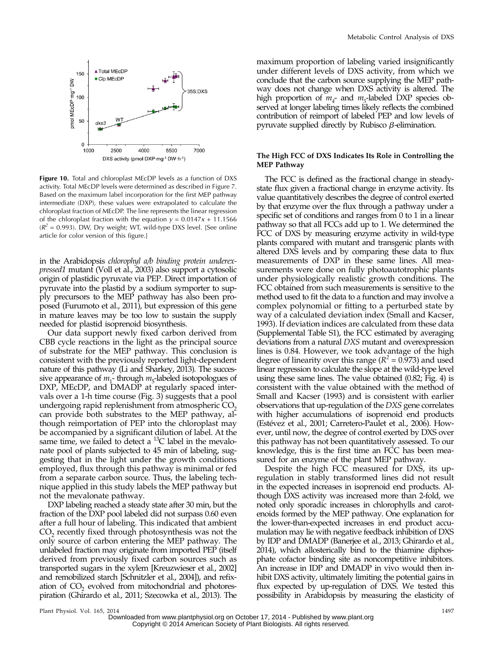

Figure 10. Total and chloroplast MEcDP levels as a function of DXS activity. Total MEcDP levels were determined as described in Figure 7. Based on the maximum label incorporation for the first MEP pathway intermediate (DXP), these values were extrapolated to calculate the chloroplast fraction of MEcDP. The line represents the linear regression of the chloroplast fraction with the equation  $y = 0.0147x + 11.1566$  $(R^2 = 0.993)$ . DW, Dry weight; WT, wild-type DXS level. [See online article for color version of this figure.]

in the Arabidopsis chlorophyl a/b binding protein underexpressed1 mutant (Voll et al., 2003) also support a cytosolic origin of plastidic pyruvate via PEP. Direct importation of pyruvate into the plastid by a sodium symporter to supply precursors to the MEP pathway has also been proposed (Furumoto et al., 2011), but expression of this gene in mature leaves may be too low to sustain the supply needed for plastid isoprenoid biosynthesis.

Our data support newly fixed carbon derived from CBB cycle reactions in the light as the principal source of substrate for the MEP pathway. This conclusion is consistent with the previously reported light-dependent nature of this pathway (Li and Sharkey, 2013). The successive appearance of  $m_1$ -through  $m_5$ -labeled isotopologues of DXP, MEcDP, and DMADP at regularly spaced intervals over a 1-h time course (Fig. 3) suggests that a pool undergoing rapid replenishment from atmospheric  $CO<sub>2</sub>$ can provide both substrates to the MEP pathway, although reimportation of PEP into the chloroplast may be accompanied by a significant dilution of label. At the same time, we failed to detect a  $^{13}$ C label in the mevalonate pool of plants subjected to 45 min of labeling, suggesting that in the light under the growth conditions employed, flux through this pathway is minimal or fed from a separate carbon source. Thus, the labeling technique applied in this study labels the MEP pathway but not the mevalonate pathway.

DXP labeling reached a steady state after 30 min, but the fraction of the DXP pool labeled did not surpass 0.60 even after a full hour of labeling. This indicated that ambient  $CO<sub>2</sub>$  recently fixed through photosynthesis was not the only source of carbon entering the MEP pathway. The unlabeled fraction may originate from imported PEP (itself derived from previously fixed carbon sources such as transported sugars in the xylem [Kreuzwieser et al., 2002] and remobilized starch [Schnitzler et al., 2004]), and refixation of  $CO<sub>2</sub>$  evolved from mitochondrial and photorespiration (Ghirardo et al., 2011; Szecowka et al., 2013). The

maximum proportion of labeling varied insignificantly under different levels of DXS activity, from which we conclude that the carbon source supplying the MEP pathway does not change when DXS activity is altered. The high proportion of  $m<sub>4</sub>$ - and  $m<sub>5</sub>$ -labeled DXP species observed at longer labeling times likely reflects the combined contribution of reimport of labeled PEP and low levels of pyruvate supplied directly by Rubisco  $\beta$ -elimination.

#### The High FCC of DXS Indicates Its Role in Controlling the MEP Pathway

The FCC is defined as the fractional change in steadystate flux given a fractional change in enzyme activity. Its value quantitatively describes the degree of control exerted by that enzyme over the flux through a pathway under a specific set of conditions and ranges from 0 to 1 in a linear pathway so that all FCCs add up to 1. We determined the FCC of DXS by measuring enzyme activity in wild-type plants compared with mutant and transgenic plants with altered DXS levels and by comparing these data to flux measurements of DXP in these same lines. All measurements were done on fully photoautotrophic plants under physiologically realistic growth conditions. The FCC obtained from such measurements is sensitive to the method used to fit the data to a function and may involve a complex polynomial or fitting to a perturbed state by way of a calculated deviation index (Small and Kacser, 1993). If deviation indices are calculated from these data [\(Supplemental Table S1\)](http://www.plantphysiol.org/cgi/content/full/pp.114.245191/DC1), the FCC estimated by averaging deviations from a natural DXS mutant and overexpression lines is 0.84. However, we took advantage of the high degree of linearity over this range ( $R^2 = 0.973$ ) and used linear regression to calculate the slope at the wild-type level using these same lines. The value obtained (0.82; Fig. 4) is consistent with the value obtained with the method of Small and Kacser (1993) and is consistent with earlier observations that up-regulation of the DXS gene correlates with higher accumulations of isoprenoid end products (Estévez et al., 2001; Carretero-Paulet et al., 2006). However, until now, the degree of control exerted by DXS over this pathway has not been quantitatively assessed. To our knowledge, this is the first time an FCC has been measured for an enzyme of the plant MEP pathway.

Despite the high FCC measured for DXS, its upregulation in stably transformed lines did not result in the expected increases in isoprenoid end products. Although DXS activity was increased more than 2-fold, we noted only sporadic increases in chlorophylls and carotenoids formed by the MEP pathway. One explanation for the lower-than-expected increases in end product accumulation may lie with negative feedback inhibition of DXS by IDP and DMADP (Banerjee et al., 2013; Ghirardo et al., 2014), which allosterically bind to the thiamine diphosphate cofactor binding site as noncompetitive inhibitors. An increase in IDP and DMADP in vivo would then inhibit DXS activity, ultimately limiting the potential gains in flux expected by up-regulation of DXS. We tested this possibility in Arabidopsis by measuring the elasticity of

Downloaded from [www.plantphysiol.org](http://www.plantphysiol.org/) on October 17, 2014 - Published by [www.plant.org](http://www.plant.org) Copyright © 2014 American Society of Plant Biologists. All rights reserved.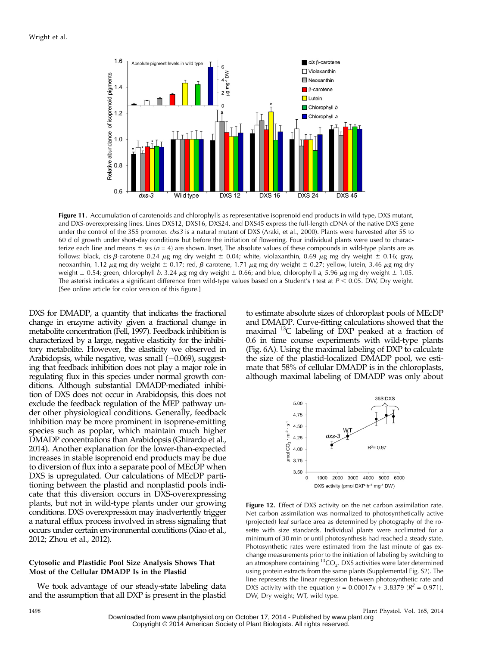

Figure 11. Accumulation of carotenoids and chlorophylls as representative isoprenoid end products in wild-type, DXS mutant, and DXS-overexpressing lines. Lines DXS12, DXS16, DXS24, and DXS45 express the full-length cDNA of the native DXS gene under the control of the 35S promoter. dxs3 is a natural mutant of DXS (Araki, et al., 2000). Plants were harvested after 55 to 60 d of growth under short-day conditions but before the initiation of flowering. Four individual plants were used to characterize each line and means  $\pm$  sts (n = 4) are shown. Inset, The absolute values of these compounds in wild-type plants are as follows: black, cis- $\beta$ -carotene 0.24  $\mu$ g mg dry weight  $\pm$  0.04; white, violaxanthin, 0.69  $\mu$ g mg dry weight  $\pm$  0.16; gray, neoxanthin, 1.12  $\mu$ g mg dry weight  $\pm$  0.17; red,  $\beta$ -carotene, 1.71  $\mu$ g mg dry weight  $\pm$  0.27; yellow, lutein, 3.46  $\mu$ g mg dry weight  $\pm$  0.54; green, chlorophyll b, 3.24  $\mu$ g mg dry weight  $\pm$  0.66; and blue, chlorophyll a, 5.96  $\mu$ g mg dry weight  $\pm$  1.05. The asterisk indicates a significant difference from wild-type values based on a Student's t test at  $P < 0.05$ . DW, Dry weight. [See online article for color version of this figure.]

DXS for DMADP, a quantity that indicates the fractional change in enzyme activity given a fractional change in metabolite concentration (Fell, 1997). Feedback inhibition is characterized by a large, negative elasticity for the inhibitory metabolite. However, the elasticity we observed in Arabidopsis, while negative, was small  $(-0.069)$ , suggesting that feedback inhibition does not play a major role in regulating flux in this species under normal growth conditions. Although substantial DMADP-mediated inhibition of DXS does not occur in Arabidopsis, this does not exclude the feedback regulation of the MEP pathway under other physiological conditions. Generally, feedback inhibition may be more prominent in isoprene-emitting species such as poplar, which maintain much higher DMADP concentrations than Arabidopsis (Ghirardo et al., 2014). Another explanation for the lower-than-expected increases in stable isoprenoid end products may be due to diversion of flux into a separate pool of MEcDP when DXS is upregulated. Our calculations of MEcDP partitioning between the plastid and nonplastid pools indicate that this diversion occurs in DXS-overexpressing plants, but not in wild-type plants under our growing conditions. DXS overexpression may inadvertently trigger a natural efflux process involved in stress signaling that occurs under certain environmental conditions (Xiao et al., 2012; Zhou et al., 2012).

## Cytosolic and Plastidic Pool Size Analysis Shows That Most of the Cellular DMADP Is in the Plastid

We took advantage of our steady-state labeling data and the assumption that all DXP is present in the plastid

to estimate absolute sizes of chloroplast pools of MEcDP and DMADP. Curve-fitting calculations showed that the maximal <sup>13</sup>C labeling of DXP peaked at a fraction of 0.6 in time course experiments with wild-type plants (Fig. 6A). Using the maximal labeling of DXP to calculate the size of the plastid-localized DMADP pool, we estimate that 58% of cellular DMADP is in the chloroplasts, although maximal labeling of DMADP was only about



Figure 12. Effect of DXS activity on the net carbon assimilation rate. Net carbon assimilation was normalized to photosynthetically active (projected) leaf surface area as determined by photography of the rosette with size standards. Individual plants were acclimated for a minimum of 30 min or until photosynthesis had reached a steady state. Photosynthetic rates were estimated from the last minute of gas exchange measurements prior to the initiation of labeling by switching to an atmosphere containing  ${}^{13}CO_2$ . DXS activities were later determined using protein extracts from the same plants ([Supplemental Fig. S2](http://www.plantphysiol.org/cgi/content/full/pp.114.245191/DC1)). The line represents the linear regression between photosynthetic rate and DXS activity with the equation  $y = 0.00017x + 3.8379$  ( $R^2 = 0.971$ ). DW, Dry weight; WT, wild type.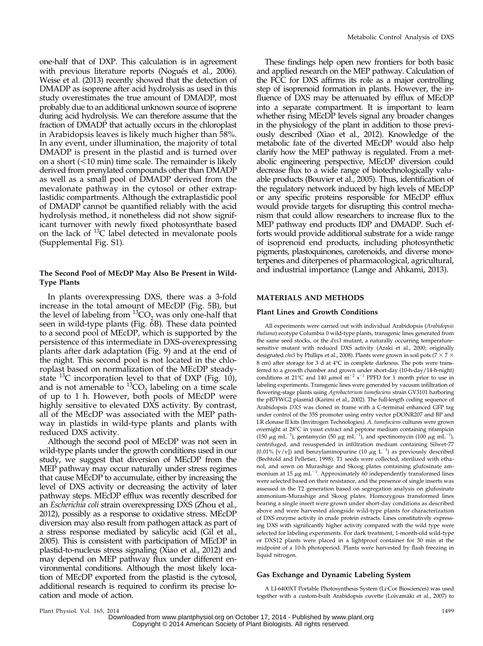one-half that of DXP. This calculation is in agreement with previous literature reports (Nogués et al., 2006). Weise et al. (2013) recently showed that the detection of DMADP as isoprene after acid hydrolysis as used in this study overestimates the true amount of DMADP, most probably due to an additional unknown source of isoprene during acid hydrolysis. We can therefore assume that the fraction of DMADP that actually occurs in the chloroplast in Arabidopsis leaves is likely much higher than 58%. In any event, under illumination, the majority of total DMADP is present in the plastid and is turned over on a short  $($  < 10 min) time scale. The remainder is likely derived from prenylated compounds other than DMADP as well as a small pool of DMADP derived from the mevalonate pathway in the cytosol or other extraplastidic compartments. Although the extraplastidic pool of DMADP cannot be quantified reliably with the acid hydrolysis method, it nonetheless did not show significant turnover with newly fixed photosynthate based on the lack of <sup>13</sup>C label detected in mevalonate pools [\(Supplemental Fig. S1\)](http://www.plantphysiol.org/cgi/content/full/pp.114.245191/DC1).

# The Second Pool of MEcDP May Also Be Present in Wild-Type Plants

In plants overexpressing DXS, there was a 3-fold increase in the total amount of MEcDP (Fig. 5B), but the level of labeling from  ${}^{13}CO$ , was only one-half that seen in wild-type plants (Fig. 6B). These data pointed to a second pool of MEcDP, which is supported by the persistence of this intermediate in DXS-overexpressing plants after dark adaptation (Fig. 9) and at the end of the night. This second pool is not located in the chloroplast based on normalization of the MEcDP steadystate  $^{13}$ C incorporation level to that of DXP (Fig. 10), and is not amenable to  ${}^{13}CO_2$  labeling on a time scale of up to 1 h. However, both pools of MEcDP were highly sensitive to elevated DXS activity. By contrast, all of the MEcDP was associated with the MEP pathway in plastids in wild-type plants and plants with reduced DXS activity.

Although the second pool of MEcDP was not seen in wild-type plants under the growth conditions used in our study, we suggest that diversion of MEcDP from the MEP pathway may occur naturally under stress regimes that cause MEcDP to accumulate, either by increasing the level of DXS activity or decreasing the activity of later pathway steps. MEcDP efflux was recently described for an Escherichia coli strain overexpressing DXS (Zhou et al., 2012), possibly as a response to oxidative stress. MEcDP diversion may also result from pathogen attack as part of a stress response mediated by salicylic acid (Gil et al., 2005). This is consistent with participation of MEcDP in plastid-to-nucleus stress signaling (Xiao et al., 2012) and may depend on MEP pathway flux under different environmental conditions. Although the most likely location of MEcDP exported from the plastid is the cytosol, additional research is required to confirm its precise location and mode of action.

These findings help open new frontiers for both basic and applied research on the MEP pathway. Calculation of the FCC for DXS affirms its role as a major controlling step of isoprenoid formation in plants. However, the influence of DXS may be attenuated by efflux of MEcDP into a separate compartment. It is important to learn whether rising MEcDP levels signal any broader changes in the physiology of the plant in addition to those previously described (Xiao et al., 2012). Knowledge of the metabolic fate of the diverted MEcDP would also help clarify how the MEP pathway is regulated. From a metabolic engineering perspective, MEcDP diversion could decrease flux to a wide range of biotechnologically valuable products (Bouvier et al., 2005). Thus, identification of the regulatory network induced by high levels of MEcDP or any specific proteins responsible for MEcDP efflux would provide targets for disrupting this control mechanism that could allow researchers to increase flux to the MEP pathway end products IDP and DMADP. Such efforts would provide additional substrate for a wide range of isoprenoid end products, including photosynthetic pigments, plastoquinones, carotenoids, and diverse monoterpenes and diterpenes of pharmacological, agricultural, and industrial importance (Lange and Ahkami, 2013).

## MATERIALS AND METHODS

#### Plant Lines and Growth Conditions

All experiments were carried out with individual Arabidopsis (Arabidopsis thaliana) ecotype Columbia 0 wild-type plants, transgenic lines generated from the same seed stocks, or the  $dxs3$  mutant, a naturally occurring temperaturesensitive mutant with reduced DXS activity (Araki et al., 2000; originally designated *chs5* by Phillips et al., 2008). Plants were grown in soil pots (7  $\times$  7  $\times$ 8 cm) after storage for 3 d at 4°C in complete darkness. The pots were transferred to a growth chamber and grown under short-day (10-h-day/14-h-night) conditions at 21°C and 140  $\mu$ mol m<sup>-2</sup> s<sup>-1</sup> PPFD for 1 month prior to use in labeling experiments. Transgenic lines were generated by vacuum infiltration of flowering-stage plants using Agrobacterium tumefaciens strain GV3101 harboring the pB7FWG2 plasmid (Karimi et al., 2002). The full-length coding sequence of Arabidopsis DXS was cloned in frame with a C-terminal enhanced GFP tag under control of the 35S promoter using entry vector pDONR207 and BP and LR clonase II kits (Invitrogen Technologies). A. tumefaciens cultures were grown overnight at 28°C in yeast extract and peptone medium containing rifampicin (150  $\mu$ g mL<sup>-1</sup>), gentamycin (50  $\mu$ g mL<sup>-1</sup>), and spectinomycin (100  $\mu$ g mL<sup>-1</sup>), centrifuged, and resuspended in infiltration medium containing Silwet-77 (0.01% [v/v]) and benzylaminopurine (10  $\mu$ g L<sup>-1</sup>) as previously described (Bechtold and Pelletier, 1998). T1 seeds were collected, sterilized with ethanol, and sown on Murashige and Skoog plates containing glufosinate ammonium at 15  $\mu$ g mL<sup>-1</sup>. Approximately 60 independently transformed lines were selected based on their resistance, and the presence of single inserts was assessed in the T2 generation based on segregation analysis on glufosinate ammonium-Murashige and Skoog plates. Homozygous transformed lines bearing a single insert were grown under short-day conditions as described above and were harvested alongside wild-type plants for characterization of DXS enzyme activity in crude protein extracts. Lines constitutively expressing DXS with significantly higher activity compared with the wild type were selected for labeling experiments. For dark treatment, 1-month-old wild-type or DXS12 plants were placed in a lightproof container for 30 min at the midpoint of a 10-h photoperiod. Plants were harvested by flash freezing in liquid nitrogen.

#### Gas Exchange and Dynamic Labeling System

A LI-6400XT Portable Photosynthesis System (Li-Cor Biosciences) was used together with a custom-built Arabidopsis cuvette (Loivamäki et al., 2007) to

Plant Physiol. Vol. 165, 2014 1499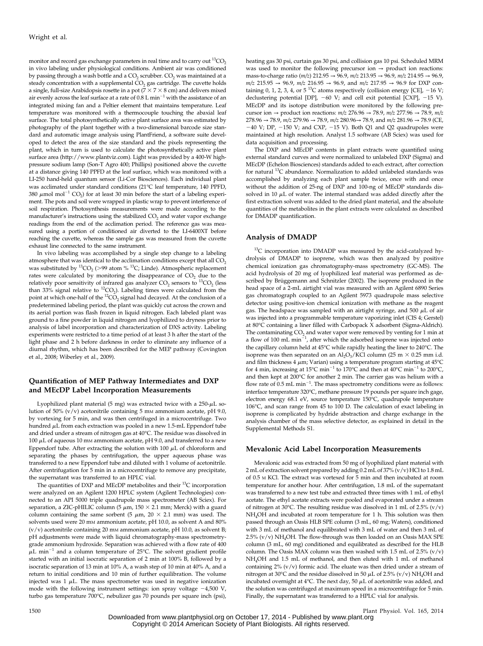monitor and record gas exchange parameters in real time and to carry out  $^{13}CO<sub>2</sub>$ in vivo labeling under physiological conditions. Ambient air was conditioned by passing through a wash bottle and a  $CO<sub>2</sub>$  scrubber.  $CO<sub>2</sub>$  was maintained at a steady concentration with a supplemental  $CO<sub>2</sub>$  gas cartridge. The cuvette holds a single, full-size Arabidopsis rosette in a pot ( $7 \times 7 \times 8$  cm) and delivers mixed air evenly across the leaf surface at a rate of  $0.8$  L min<sup>-1</sup> with the assistance of an integrated mixing fan and a Peltier element that maintains temperature. Leaf temperature was monitored with a thermocouple touching the abaxial leaf surface. The total photosynthetically active plant surface area was estimated by photography of the plant together with a two-dimensional barcode size standard and automatic image analysis using PlantFriend, a software suite developed to detect the area of the size standard and the pixels representing the plant, which in turn is used to calculate the photosynthetically active plant surface area [\(http://www.plantviz.com](http://www.plantviz.com)). Light was provided by a 400-W highpressure sodium lamp (Son-T Agro 400; Phillips) positioned above the cuvette at a distance giving 140 PPFD at the leaf surface, which was monitored with a LI-250 hand-held quantum sensor (Li-Cor Biosciences). Each individual plant was acclimated under standard conditions (21°C leaf temperature, 140 PPFD, 380  $\mu$ mol mol<sup>-1</sup> CO<sub>2</sub>) for at least 30 min before the start of a labeling experiment. The pots and soil were wrapped in plastic wrap to prevent interference of soil respiration. Photosynthesis measurements were made according to the manufacturer's instructions using the stabilized  $CO<sub>2</sub>$  and water vapor exchange readings from the end of the acclimation period. The reference gas was measured using a portion of conditioned air diverted to the LI-6400XT before reaching the cuvette, whereas the sample gas was measured from the cuvette exhaust line connected to the same instrument.

In vivo labeling was accomplished by a single step change to a labeling atmosphere that was identical to the acclimation conditions except that all  $CO<sub>2</sub>$ was substituted by  ${}^{13}CO_2$  (>99 atom %  ${}^{13}C$ ; Linde). Atmospheric replacement rates were calculated by monitoring the disappearance of  $CO<sub>2</sub>$  due to the relatively poor sensitivity of infrared gas analyzer  $CO_2$  sensors to  $^{13}CO$ , (less than 33% signal relative to  ${}^{12}CO_2$ ). Labeling times were calculated from the point at which one-half of the  ${}^{12}CO_2$  signal had decayed. At the conclusion of a predetermined labeling period, the plant was quickly cut across the crown and its aerial portion was flash frozen in liquid nitrogen. Each labeled plant was ground to a fine powder in liquid nitrogen and lyophilized to dryness prior to analysis of label incorporation and characterization of DXS activity. Labeling experiments were restricted to a time period of at least 3 h after the start of the light phase and 2 h before darkness in order to eliminate any influence of a diurnal rhythm, which has been described for the MEP pathway (Covington et al., 2008; Wiberley et al., 2009).

## Quantification of MEP Pathway Intermediates and DXP and MEcDP Label Incorporation Measurements

Lyophilized plant material (5 mg) was extracted twice with a  $250-\mu L$  solution of 50%  $(v/v)$  acetonitrile containing 5 mm ammonium acetate, pH 9.0, by vortexing for 5 min, and was then centrifuged in a microcentrifuge. Two hundred  $\mu$ L from each extraction was pooled in a new 1.5-mL Eppendorf tube and dried under a stream of nitrogen gas at 40°C. The residue was dissolved in 100  $\mu$ L of aqueous 10 mm ammonium acetate, pH 9.0, and transferred to a new Eppendorf tube. After extracting the solution with  $100 \mu L$  of chloroform and separating the phases by centrifugation, the upper aqueous phase was transferred to a new Eppendorf tube and diluted with 1 volume of acetonitrile. After centrifugation for 5 min in a microcentrifuge to remove any precipitate, the supernatant was transferred to an HPLC vial.

The quantities of DXP and MEcDP metabolites and their <sup>13</sup>C incorporation were analyzed on an Agilent 1200 HPLC system (Agilent Technologies) connected to an API 5000 triple quadrupole mass spectrometer (AB Sciex). For separation, a ZIC-pHILIC column (5  $\mu$ m, 150  $\times$  2.1 mm; Merck) with a guard column containing the same sorbent (5  $\mu$ m, 20  $\times$  2.1 mm) was used. The solvents used were 20 mm ammonium acetate, pH 10.0, as solvent A and 80%  $(v/v)$  acetonitrile containing 20 mm ammonium acetate, pH 10.0, as solvent B; pH adjustments were made with liquid chromatography-mass spectrometrygrade ammonium hydroxide. Separation was achieved with a flow rate of 400  $\mu$ L min<sup>-1</sup> and a column temperature of 25°C. The solvent gradient profile started with an initial isocratic separation of 2 min at 100% B, followed by a isocratic separation of 13 min at 10% A, a wash step of 10 min at 40% A, and a return to initial conditions and 10 min of further equilibration. The volume injected was  $1 \mu L$ . The mass spectrometer was used in negative ionization mode with the following instrument settings: ion spray voltage  $-4,500$  V, turbo gas temperature 700°C, nebulizer gas 70 pounds per square inch (psi),

heating gas 30 psi, curtain gas 30 psi, and collision gas 10 psi. Scheduled MRM was used to monitor the following precursor ion  $\rightarrow$  product ion reactions: mass-to-charge ratio (*m*/z) 212.95 → 96.9, *m*/z 213.95 → 96.9, *m*/z 214.95 → 96.9,  $m/z$  215.95  $\rightarrow$  96.9,  $m/z$  216.95  $\rightarrow$  96.9, and  $m/z$  217.95  $\rightarrow$  96.9 for DXP containing 0, 1, 2, 3, 4, or  $5^{13}$ C atoms respectively (collision energy [CE],  $-16$  V; declustering potential [DP],  $-60$  V; and cell exit potential [CXP],  $-15$  V). MEcDP and its isotope distribution were monitored by the following precursor ion  $\rightarrow$  product ion reactions:  $m/z$  276.96  $\rightarrow$  78.9,  $m/z$  277.96  $\rightarrow$  78.9,  $m/z$ 278.96 → 78.9,  $m/z$  279.96 → 78.9,  $m/z$  280.96→ 78.9, and  $m/z$  281.96 → 78.9 (CE,  $-40$  V; DP,  $-150$  V; and CXP,  $-15$  V). Both Q1 and Q2 quadrupoles were maintained at high resolution. Analyst 1.5 software (AB Sciex) was used for data acquisition and processing.

The DXP and MEcDP contents in plant extracts were quantified using external standard curves and were normalized to unlabeled DXP (Sigma) and MEcDP (Echelon Biosciences) standards added to each extract, after correction for natural <sup>13</sup>C abundance. Normalization to added unlabeled standards was accomplished by analyzing each plant sample twice, once with and once without the addition of 25-ng of DXP and 100-ng of MEcDP standards dissolved in 10  $\mu$ L of water. The internal standard was added directly after the first extraction solvent was added to the dried plant material, and the absolute quantities of the metabolites in the plant extracts were calculated as described for DMADP quantification.

#### Analysis of DMADP

 $13C$  incorporation into DMADP was measured by the acid-catalyzed hydrolysis of DMADP to isoprene, which was then analyzed by positive chemical ionization gas chromatography-mass spectrometry (GC-MS). The acid hydrolysis of 20 mg of lyophilized leaf material was performed as described by Brüggemann and Schnitzler (2002). The isoprene produced in the head space of a 2-mL airtight vial was measured with an Agilent 6890 Series gas chromatograph coupled to an Agilent 5973 quadrupole mass selective detector using positive-ion chemical ionization with methane as the reagent gas. The headspace was sampled with an airtight syringe, and 500  $\mu$ L of air was injected into a programmable temperature vaporizing inlet (CIS 4; Gerstel) at 80°C containing a liner filled with Carbopack X adsorbent (Sigma-Aldrich). The contaminating  $CO<sub>2</sub>$  and water vapor were removed by venting for 1 min at a flow of 100 mL  $min^{-1}$ , after which the adsorbed isoprene was injected onto the capillary column held at 45°C while rapidly heating the liner to 240°C. The isoprene was then separated on an  $\text{Al}_2\text{O}_3/\text{KCl}$  column (25 m  $\times$  0.25 mm i.d. and film thickness  $4 \mu$ m; Varian) using a temperature program starting at  $45^{\circ}$ C for 4 min, increasing at 15°C min<sup>-1</sup> to 170°C and then at 40°C min<sup>-1</sup> to 200°C, and then kept at 200°C for another 2 min. The carrier gas was helium with a flow rate of  $0.5$  mL min<sup>-1</sup>. The mass spectrometry conditions were as follows: interface temperature 320°C, methane pressure 19 pounds per square inch gage, electron energy 68.1 eV, source temperature 150°C, quadrupole temperature 106°C, and scan range from 45 to 100 D. The calculation of exact labeling in isoprene is complicated by hydride abstraction and charge exchange in the analysis chamber of the mass selective detector, as explained in detail in the [Supplemental Methods S1](http://www.plantphysiol.org/cgi/content/full/pp.114.245191/DC1).

#### Mevalonic Acid Label Incorporation Measurements

Mevalonic acid was extracted from 50 mg of lyophilized plant material with 2 mL of extraction solvent prepared by adding 0.2 mL of 37% (v/v) HCl to 1.8 mL of 0.5 <sup>M</sup> KCl. The extract was vortexed for 5 min and then incubated at room temperature for another hour. After centrifugation, 1.8 mL of the supernatant was transferred to a new test tube and extracted three times with 1 mL of ethyl acetate. The ethyl acetate extracts were pooled and evaporated under a stream of nitrogen at 30°C. The resulting residue was dissolved in 1 mL of 2.5% (v/v) NH4OH and incubated at room temperature for 1 h. This solution was then passed through an Oasis HLB SPE column (3 mL, 60 mg; Waters), conditioned with 3 mL of methanol and equilibrated with 3 mL of water and then 3 mL of 2.5% (v/v) NH<sub>4</sub>OH. The flow-through was then loaded on an Oasis MAX SPE column (3 mL, 60 mg) conditioned and equilibrated as described for the HLB column. The Oasis MAX column was then washed with  $1.5$  mL of  $2.5\%$  ( $v/v$ ) NH4OH and 1.5 mL of methanol, and then eluted with 1 mL of methanol containing 2% (v/v) formic acid. The eluate was then dried under a stream of nitrogen at 30°C and the residue dissolved in 50  $\mu$ L of 2.5% (v/v) NH<sub>4</sub>OH and incubated overnight at  $4^{\circ}$ C. The next day, 50  $\mu$ L of acetonitrile was added, and the solution was centrifuged at maximum speed in a microcentrifuge for 5 min. Finally, the supernatant was transferred to a HPLC vial for analysis.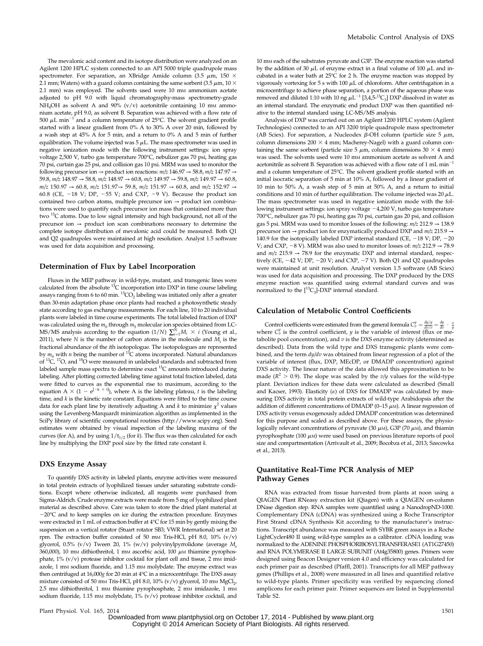The mevalonic acid content and its isotope distribution were analyzed on an Agilent 1200 HPLC system connected to an API 5000 triple quadrupole mass spectrometer. For separation, an XBridge Amide column (3.5  $\mu$ m, 150  $\times$ 2.1 mm; Waters) with a guard column containing the same sorbent (3.5  $\mu$ m, 10  $\times$ 2.1 mm) was employed. The solvents used were 10 mm ammonium acetate adjusted to pH 9.0 with liquid chromatography-mass spectrometry-grade NH<sub>4</sub>OH as solvent A and 90% (v/v) acetonitrile containing 10 mm ammonium acetate, pH 9.0, as solvent B. Separation was achieved with a flow rate of 500  $\mu$ L min<sup>-1</sup> and a column temperature of 25°C. The solvent gradient profile started with a linear gradient from 0% A to 30% A over 20 min, followed by a wash step at 45% A for 5 min, and a return to 0% A and 5 min of further equilibration. The volume injected was  $5 \mu L$ . The mass spectrometer was used in negative ionization mode with the following instrument settings: ion spray voltage 2,500 V, turbo gas temperature 700°C, nebulizer gas 70 psi, heating gas 70 psi, curtain gas 25 psi, and collision gas 10 psi. MRM was used to monitor the following precursor ion  $\rightarrow$  product ion reactions:  $m/z$  146.97  $\rightarrow$  58.8,  $m/z$  147.97  $\rightarrow$ 59.8,  $m/z$  148.97 → 58.8,  $m/z$  148.97 → 60.8,  $m/z$  149.97 → 59.8,  $m/z$  149.97 → 60.8,  $m/z$  150.97 → 60.8,  $m/z$  151.97 → 59.8,  $m/z$  151.97 → 60.8, and  $m/z$  152.97 → 60.8 (CE,  $-18$  V; DP,  $-55$  V; and CXP,  $-9$  V). Because the product ion contained two carbon atoms, multiple precursor ion  $\rightarrow$  product ion combinations were used to quantify each precursor ion mass that contained more than two <sup>13</sup>C atoms. Due to low signal intensity and high background, not all of the precursor ion → product ion scan combinations necessary to determine the complete isotope distribution of mevalonic acid could be measured. Both Q1 and Q2 quadrupoles were maintained at high resolution. Analyst 1.5 software was used for data acquisition and processing.

#### Determination of Flux by Label Incorporation

Fluxes in the MEP pathway in wild-type, mutant, and transgenic lines were calculated from the absolute <sup>13</sup>C incorporation into DXP in time course labeling assays ranging from 6 to 60 min.  ${}^{13}CO_2$  labeling was initiated only after a greater than 30-min adaptation phase once plants had reached a photosynthetic steady state according to gas exchange measurements. For each line, 10 to 20 individual plants were labeled in time course experiments. The total labeled fraction of DXP was calculated using the  $m_0$  through  $m_5$  molecular ion species obtained from LC-MS/MS analysis according to the equation (1/N)  $\sum_{i=1}^{N} M_i \times i$  (Young et al., 2011), where  $N$  is the number of carbon atoms in the molecule and  $M_i$  is the fractional abundance of the ith isotopologue. The isotopologues are represented by  $m_n$  with *n* being the number of <sup>13</sup>C atoms incorporated. Natural abundances of  ${}^{13}C$ ,  ${}^{17}O$ , and  ${}^{18}O$  were measured in unlabeled standards and subtracted from labeled sample mass spectra to determine exact  $^{13}$ C amounts introduced during labeling. After plotting corrected labeling time against total fraction labeled, data were fitted to curves as the exponential rise to maximum, according to the equation  $A \times (1 - e^{[-k \times t]})$ , where A is the labeling plateau, t is the labeling  $t$ ime, and  $k$  is the kinetic rate constant. Equations were fitted to the time course data for each plant line by iteratively adjusting A and  $k$  to minimize  $\chi^2$  values using the Levenberg-Marquardt minimization algorithm as implemented in the SciPy library of scientific computational routines ([http://www.scipy.org\)](http://www.scipy.org). Seed estimates were obtained by visual inspection of the labeling maxima of the curves (for A), and by using  $1/t_{1/2}$  (for k). The flux was then calculated for each line by multiplying the DXP pool size by the fitted rate constant k.

#### DXS Enzyme Assay

To quantify DXS activity in labeled plants, enzyme activities were measured in total protein extracts of lyophilized tissues under saturating substrate conditions. Except where otherwise indicated, all reagents were purchased from Sigma-Aldrich. Crude enzyme extracts were made from 5 mg of lyophilized plant material as described above. Care was taken to store the dried plant material at  $-20^{\circ}$ C and to keep samples on ice during the extraction procedure. Enzymes were extracted in 1 mL of extraction buffer at 4°C for 15 min by gently mixing the suspension on a vertical rotator (Stuart rotator SB3; VWR International) set at 20 rpm. The extraction buffer consisted of 50 mm Tris-HCl, pH 8.0, 10%  $(v/v)$ glycerol, 0.5% (v/v) Tween 20, 1% (w/v) polyvinylpyrrolidone (average  $M_r$ 360,000), 10 mm dithiothreitol, 1 mm ascorbic acid, 100  $\mu$ m thiamine pyrophosphate,  $1\%$  (v/v) protease inhibitor cocktail for plant cell and tissue, 2 mm imidazole, 1 mm sodium fluoride, and 1.15 mm molybdate. The enzyme extract was then centrifuged at 16,000g for 20 min at 4°C in a microcentrifuge. The DXS assay mixture consisted of 50 mm Tris-HCl, pH 8.0, 10% (v/v) glycerol, 10 mm MgCl<sub>2</sub>, 2.5 mm dithiothreitol, 1 mm thiamine pyrophosphate, 2 mm imidazole, 1 mm sodium fluoride, 1.15 mm molybdate,  $1\%$  (v/v) protease inhibitor cocktail, and

10 mM each of the substrates pyruvate and G3P. The enzyme reaction was started by the addition of 30  $\mu$ L of enzyme extract in a final volume of 100  $\mu$ L and incubated in a water bath at 25°C for 2 h. The enzyme reaction was stopped by vigorously vortexing for 5 s with 100  $\mu$ L of chloroform. After centrifugation in a microcentrifuge to achieve phase separation, a portion of the aqueous phase was<br>removed and diluted 1:10 with 10 ng  $\mu$ L<sup>-1</sup> [3,4,5-<sup>13</sup>C<sub>3</sub>] DXP dissolved in water as an internal standard. The enzymatic end product DXP was then quantified relative to the internal standard using LC-MS/MS analysis.

Analysis of DXP was carried out on an Agilent 1200 HPLC system (Agilent Technologies) connected to an API 3200 triple quadrupole mass spectrometer (AB Sciex). For separation, a Nucleodex  $\beta$ -OH column (particle size 5  $\mu$ m, column dimensions  $200 \times 4$  mm; Macherey-Nagel) with a guard column containing the same sorbent (particle size 5  $\mu$ m, column dimensions 30  $\times$  4 mm) was used. The solvents used were 10 mm ammonium acetate as solvent A and acetonitrile as solvent B. Separation was achieved with a flow rate of  $1 \text{ mL min}^{-1}$ and a column temperature of 25°C. The solvent gradient profile started with an initial isocratic separation of 5 min at 10% A, followed by a linear gradient of 10 min to 50% A, a wash step of 5 min at 50% A, and a return to initial conditions and 10 min of further equilibration. The volume injected was 20  $\mu$ L. The mass spectrometer was used in negative ionization mode with the following instrument settings: ion spray voltage  $-4,200$  V, turbo gas temperature 700°C, nebulizer gas 70 psi, heating gas 70 psi, curtain gas 20 psi, and collision gas 5 psi. MRM was used to monitor losses of the following:  $m/z$  212.9  $\rightarrow$  138.9 precursor ion  $\rightarrow$  product ion for enzymatically produced DXP and  $m/z$  215.9  $\rightarrow$ 140.9 for the isotopically labeled DXP internal standard (CE,  $-18$  V; DP,  $-20$ V; and CXP, -8 V). MRM was also used to monitor losses of:  $m/z$  212.9  $\rightarrow$  78.9 and  $m/z$  215.9  $\rightarrow$  78.9 for the enzymatic DXP and internal standard, respectively (CE,  $-42$  V; DP,  $-20$  V; and CXP,  $-7$  V). Both Q1 and Q2 quadrupoles were maintained at unit resolution. Analyst version 1.5 software (AB Sciex) was used for data acquisition and processing. The DXP produced by the DXS enzyme reaction was quantified using external standard curves and was normalized to the  $\left[^{13}C_3\right]$ -DXP internal standard.

## Calculation of Metabolic Control Coefficients

Control coefficients were estimated from the general formula  $C_v^y = \frac{dy/y}{dv/v} = \frac{dy}{dv} + \frac{v}{y}$ where  $C_v^y$  is the control coefficient, y is the variable of interest (flux or metabolite pool concentration), and  $v$  is the DXS enzyme activity (determined as described). Data from the wild type and DXS transgenic plants were combined, and the term dy/dv was obtained from linear regression of a plot of the variable of interest (flux, DXP, MEcDP, or DMADP concentration) against DXS activity. The linear nature of the data allowed this approximation to be made ( $R^2 > 0.9$ ). The slope was scaled by the v/y values for the wild-type plant. Deviation indices for these data were calculated as described (Small and Kacser, 1993). Elasticity  $(\varepsilon)$  of DXS for DMADP was calculated by measuring DXS activity in total protein extracts of wild-type Arabidopsis after the addition of different concentrations of DMADP (0-15  $\mu$ M). A linear regression of DXS activity versus exogenously added DMADP concentration was determined for this purpose and scaled as described above. For these assays, the physiologically relevant concentrations of pyruvate (30  $\mu$ M), G3P (70  $\mu$ M), and thiamin pyrophosphate (100  $\mu$ M) were used based on previous literature reports of pool size and compartmentation (Arrivault et al., 2009; Bocobza et al., 2013; Szecowka et al., 2013).

## Quantitative Real-Time PCR Analysis of MEP Pathway Genes

RNA was extracted from tissue harvested from plants at noon using a QIAGEN Plant RNeasy extraction kit (Qiagen) with a QIAGEN on-column DNase digestion step. RNA samples were quantified using a NanodropND-1000. Complementary DNA (cDNA) was synthesized using a Roche Transcriptor First Strand cDNA Synthesis Kit according to the manufacturer's instructions. Transcript abundance was measured with SYBR green assays in a Roche LightCycler480 II using wild-type samples as a calibrator. cDNA loading was normalized to the ADENINE PHOSPHORIBOSYLTRANSFERASE1 (AT1G27450) and RNA POLYMERASE II LARGE SUBUNIT (At4g35800) genes. Primers were designed using Beacon Designer version 4.0 and efficiency was calculated for each primer pair as described (Pfaffl, 2001). Transcripts for all MEP pathway genes (Phillips et al., 2008) were measured in all lines and quantified relative to wild-type plants. Primer specificity was verified by sequencing cloned amplicons for each primer pair. Primer sequences are listed in [Supplemental](http://www.plantphysiol.org/cgi/content/full/pp.114.245191/DC1) [Table S2.](http://www.plantphysiol.org/cgi/content/full/pp.114.245191/DC1)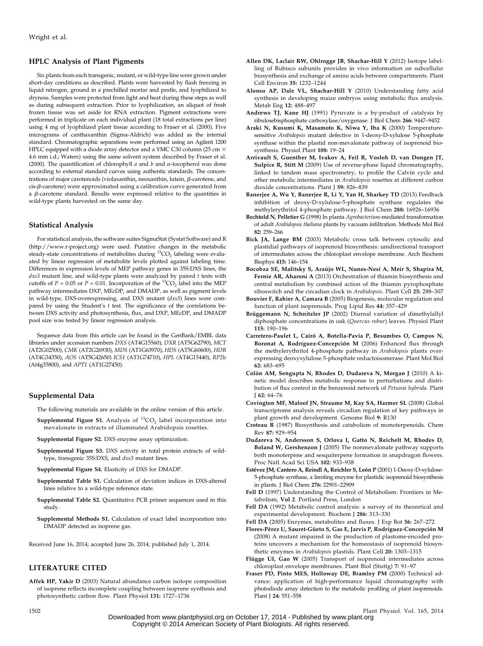## HPLC Analysis of Plant Pigments

Six plants from each transgenic, mutant, or wild-type line were grown under short-day conditions as described. Plants were harvested by flash freezing in liquid nitrogen, ground in a prechilled mortar and pestle, and lyophilized to dryness. Samples were protected from light and heat during these steps as well as during subsequent extraction. Prior to lyophilization, an aliquot of fresh frozen tissue was set aside for RNA extraction. Pigment extractions were performed in triplicate on each individual plant (18 total extractions per line) using 4 mg of lyophilized plant tissue according to Fraser et al. (2000). Five micrograms of canthaxanthin (Sigma-Aldrich) was added as the internal standard. Chromatographic separations were performed using an Agilent 1200 HPLC equipped with a diode array detector and a YMC C30 column (25 cm  $\times$ 4.6 mm i.d.; Waters) using the same solvent system described by Fraser et al. (2000). The quantification of chlorophyll  $a$  and  $b$  and  $\alpha$ -tocopherol was done according to external standard curves using authentic standards. The concentrations of major carotenoids (violaxanthin, neoxanthin, lutein,  $\beta$ -carotene, and  $cis$ - $\beta$ -carotene) were approximated using a calibration curve generated from a  $\beta$ -carotene standard. Results were expressed relative to the quantities in wild-type plants harvested on the same day.

#### Statistical Analysis

For statistical analysis, the software suites SigmaStat (Systat Software) and R [\(http://www.r-project.org](http://www.r-project.org)) were used. Putative changes in the metabolic<br>steady-state concentrations of metabolites during <sup>13</sup>CO<sub>2</sub> labeling were evaluated by linear regression of metabolite levels plotted against labeling time. Differences in expression levels of MEP pathway genes in 35S:DXS lines, the  $dxs3$  mutant line, and wild-type plants were analyzed by paired  $t$  tests with cutoffs of  $P = 0.05$  or  $P = 0.01$ . Incorporation of the <sup>13</sup>CO<sub>2</sub> label into the MEP pathway intermediates DXP, MEcDP, and DMADP, as well as pigment levels in wild-type, DXS-overexpressing, and DXS mutant (dxs3) lines were compared by using the Student's  $t$  test. The significance of the correlations between DXS activity and photosynthesis, flux, and DXP, MEcDP, and DMADP pool size was tested by linear regression analysis.

Sequence data from this article can be found in the GenBank/EMBL data libraries under accession numbers DXS (AT4G15560), DXR (AT5G62790), MCT (AT2G02500), CMK (AT2G26930), MDS (AT1G63970), HDS (AT5G60600), HDR (AT4G34350), AOS (AT5G42650) ICS1 (AT1G74710), HPL (AT4G15440), RP2ls (At4g35800), and APT1 (AT1G27450).

#### Supplemental Data

- The following materials are available in the online version of this article.
- **[Supplemental](http://www.plantphysiol.org/cgi/content/full/pp.114.245191/DC1) [Figure](http://www.plantphysiol.org/cgi/content/full/pp.114.245191/DC1) [S1.](http://www.plantphysiol.org/cgi/content/full/pp.114.245191/DC1)** Analysis of  $^{13}CO<sub>2</sub>$  [label incorporation into](http://www.plantphysiol.org/cgi/content/full/pp.114.245191/DC1) [mevalonate in extracts of illuminated Arabidopsis rosettes.](http://www.plantphysiol.org/cgi/content/full/pp.114.245191/DC1)
- Supplemental Figure S2. [DXS enzyme assay optimization.](http://www.plantphysiol.org/cgi/content/full/pp.114.245191/DC1)
- Supplemental Figure S3. [DXS activity in total protein extracts of wild](http://www.plantphysiol.org/cgi/content/full/pp.114.245191/DC1)[type, transgenic 35S:DXS, and](http://www.plantphysiol.org/cgi/content/full/pp.114.245191/DC1)  $dxs3$  mutant lines.
- Supplemental Figure S4. [Elasticity of DXS for DMADP.](http://www.plantphysiol.org/cgi/content/full/pp.114.245191/DC1)
- Supplemental Table S1. [Calculation of deviation indices in DXS-altered](http://www.plantphysiol.org/cgi/content/full/pp.114.245191/DC1) [lines relative to a wild-type reference state.](http://www.plantphysiol.org/cgi/content/full/pp.114.245191/DC1)
- Supplemental Table S2. [Quantitative PCR primer sequences used in this](http://www.plantphysiol.org/cgi/content/full/pp.114.245191/DC1) [study.](http://www.plantphysiol.org/cgi/content/full/pp.114.245191/DC1)
- Supplemental Methods S1. [Calculation of exact label incorporation into](http://www.plantphysiol.org/cgi/content/full/pp.114.245191/DC1) [DMADP detected as isoprene gas.](http://www.plantphysiol.org/cgi/content/full/pp.114.245191/DC1)

Received June 16, 2014; accepted June 26, 2014; published July 1, 2014.

#### LITERATURE CITED

Affek HP, Yakir D (2003) Natural abundance carbon isotope composition of isoprene reflects incomplete coupling between isoprene synthesis and photosynthetic carbon flow. Plant Physiol 131: 1727–1736

- Allen DK, Laclair RW, Ohlrogge JB, Shachar-Hill Y (2012) Isotope labelling of Rubisco subunits provides in vivo information on subcellular biosynthesis and exchange of amino acids between compartments. Plant Cell Environ 35: 1232–1244
- Alonso AP, Dale VL, Shachar-Hill Y (2010) Understanding fatty acid synthesis in developing maize embryos using metabolic flux analysis. Metab Eng 12: 488–497
- Andrews TJ, Kane HJ (1991) Pyruvate is a by-product of catalysis by ribulosebisphosphate carboxylase/oxygenase. J Biol Chem 266: 9447–9452
- Araki N, Kusumi K, Masamoto K, Niwa Y, Iba K (2000) Temperaturesensitive Arabidopsis mutant defective in 1-deoxy-D-xylulose 5-phosphate synthase within the plastid non-mevalonate pathway of isoprenoid biosynthesis. Physiol Plant 108: 19–24
- Arrivault S, Guenther M, Ivakov A, Feil R, Vosloh D, van Dongen JT, Sulpice R, Stitt M (2009) Use of reverse-phase liquid chromatography, linked to tandem mass spectrometry, to profile the Calvin cycle and other metabolic intermediates in Arabidopsis rosettes at different carbon dioxide concentrations. Plant J 59: 826-839
- Banerjee A, Wu Y, Banerjee R, Li Y, Yan H, Sharkey TD (2013) Feedback inhibition of deoxy-D-xylulose-5-phosphate synthase regulates the methylerythritol 4-phosphate pathway. J Biol Chem 288: 16926–16936
- Bechtold N, Pelletier G (1998) In planta Agrobacterium-mediated transformation of adult Arabidopsis thaliana plants by vacuum infiltration. Methods Mol Biol 82: 259–266
- Bick JA, Lange BM (2003) Metabolic cross talk between cytosolic and plastidial pathways of isoprenoid biosynthesis: unidirectional transport of intermediates across the chloroplast envelope membrane. Arch Biochem Biophys 415: 146–154
- Bocobza SE, Malitsky S, Araújo WL, Nunes-Nesi A, Meir S, Shapira M, Fernie AR, Aharoni A (2013) Orchestration of thiamin biosynthesis and central metabolism by combined action of the thiamin pyrophosphate riboswitch and the circadian clock in Arabidopsis. Plant Cell 25: 288–307
- Bouvier F, Rahier A, Camara B (2005) Biogenesis, molecular regulation and function of plant isoprenoids. Prog Lipid Res 44: 357–429
- Brüggemann N, Schnitzler JP (2002) Diurnal variation of dimethylallyl diphosphate concentrations in oak (Quercus robur) leaves. Physiol Plant 115: 190–196
- Carretero-Paulet L, Cairó A, Botella-Pavía P, Besumbes O, Campos N, Boronat A, Rodríguez-Concepción M (2006) Enhanced flux through the methylerythritol 4-phosphate pathway in Arabidopsis plants overexpressing deoxyxylulose 5-phosphate reductoisomerase. Plant Mol Biol 62: 683–695
- Colón AM, Sengupta N, Rhodes D, Dudareva N, Morgan J (2010) A kinetic model describes metabolic response to perturbations and distribution of flux control in the benzenoid network of Petunia hybrida. Plant J 62: 64–76
- Covington MF, Maloof JN, Straume M, Kay SA, Harmer SL (2008) Global transcriptome analysis reveals circadian regulation of key pathways in plant growth and development. Genome Biol 9: R130
- Croteau R (1987) Biosynthesis and catabolism of monoterpenoids. Chem Rev 87: 929–954
- Dudareva N, Andersson S, Orlova I, Gatto N, Reichelt M, Rhodes D, Boland W, Gershenzon J (2005) The nonmevalonate pathway supports both monoterpene and sesquiterpene formation in snapdragon flowers. Proc Natl Acad Sci USA 102: 933–938
- Estévez JM, Cantero A, Reindl A, Reichler S, León P (2001) 1-Deoxy-D-xylulose-5-phosphate synthase, a limiting enzyme for plastidic isoprenoid biosynthesis in plants. J Biol Chem 276: 22901–22909
- Fell D (1997) Understanding the Control of Metabolism: Frontiers in Metabolism, Vol 2. Portland Press, London
- Fell DA (1992) Metabolic control analysis: a survey of its theoretical and experimental development. Biochem J 286: 313–330
- Fell DA (2005) Enzymes, metabolites and fluxes. J Exp Bot 56: 267–272
- Flores-Pérez U, Sauret-Güeto S, Gas E, Jarvis P, Rodríguez-Concepción M (2008) A mutant impaired in the production of plastome-encoded proteins uncovers a mechanism for the homeostasis of isoprenoid biosynthetic enzymes in Arabidopsis plastids. Plant Cell 20: 1303–1315
- Flügge UI, Gao W (2005) Transport of isoprenoid intermediates across chloroplast envelope membranes. Plant Biol (Stuttg) 7: 91–97
- Fraser PD, Pinto MES, Holloway DE, Bramley PM (2000) Technical advance: application of high-performance liquid chromatography with photodiode array detection to the metabolic profiling of plant isoprenoids. Plant J 24: 551–558

1502 Plant Physiol. Vol. 165, 2014

Downloaded from [www.plantphysiol.org](http://www.plantphysiol.org/) on October 17, 2014 - Published by [www.plant.org](http://www.plant.org) Copyright © 2014 American Society of Plant Biologists. All rights reserved.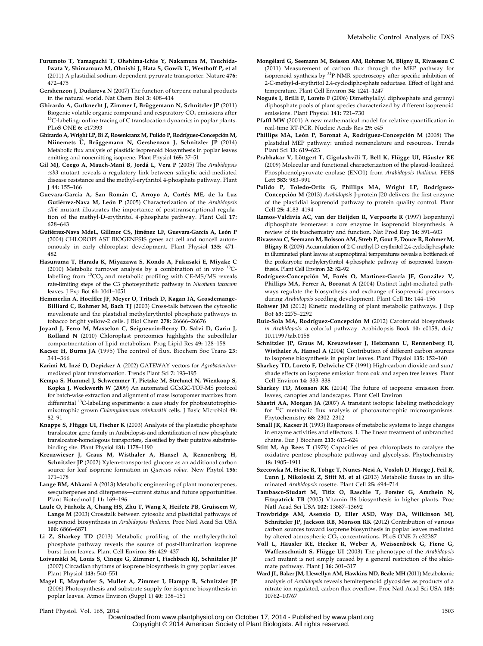- Furumoto T, Yamaguchi T, Ohshima-Ichie Y, Nakamura M, Tsuchida-Iwata Y, Shimamura M, Ohnishi J, Hata S, Gowik U, Westhoff P, et al (2011) A plastidial sodium-dependent pyruvate transporter. Nature 476: 472–475
- Gershenzon J, Dudareva N (2007) The function of terpene natural products in the natural world. Nat Chem Biol 3: 408–414
- Ghirardo A, Gutknecht J, Zimmer I, Brüggemann N, Schnitzler JP (2011) Biogenic volatile organic compound and respiratory  $CO_2$  emissions after  $^{13}$ C-labeling: online tracing of C translocation dynamics in poplar plants. PLoS ONE 6: e17393
- Ghirardo A, Wright LP, Bi Z, Rosenkranz M, Pulido P, Rodríguez-Concepción M, Niinemets Ü, Brüggemann N, Gershenzon J, Schnitzler JP (2014) Metabolic flux analysis of plastidic isoprenoid biosynthesis in poplar leaves emitting and nonemitting isoprene. Plant Physiol 165: 37–51
- Gil MJ, Coego A, Mauch-Mani B, Jordá L, Vera P (2005) The Arabidopsis csb3 mutant reveals a regulatory link between salicylic acid-mediated disease resistance and the methyl-erythritol 4-phosphate pathway. Plant J 44: 155–166
- Guevara-García A, San Román C, Arroyo A, Cortés ME, de la Luz Gutiérrez-Nava M, León P (2005) Characterization of the Arabidopsis clb6 mutant illustrates the importance of posttranscriptional regulation of the methyl-D-erythritol 4-phosphate pathway. Plant Cell 17: 628–643
- Gutiérrez-Nava MdeL, Gillmor CS, Jiménez LF, Guevara-García A, León P (2004) CHLOROPLAST BIOGENESIS genes act cell and noncell autonomously in early chloroplast development. Plant Physiol 135: 471– 482
- Hasunuma T, Harada K, Miyazawa S, Kondo A, Fukusaki E, Miyake C (2010) Metabolic turnover analysis by a combination of in vivo  $^{13}$ Clabelling from  ${}^{13}CO_2$  and metabolic profiling with CE-MS/MS reveals rate-limiting steps of the C3 photosynthetic pathway in Nicotiana tabacum leaves. J Exp Bot 61: 1041–1051
- Hemmerlin A, Hoeffler JF, Meyer O, Tritsch D, Kagan IA, Grosdemange-Billiard C, Rohmer M, Bach TJ (2003) Cross-talk between the cytosolic mevalonate and the plastidial methylerythritol phosphate pathways in tobacco bright yellow-2 cells. J Biol Chem 278: 26666–26676
- Joyard J, Ferro M, Masselon C, Seigneurin-Berny D, Salvi D, Garin J, Rolland N (2010) Chloroplast proteomics highlights the subcellular compartmentation of lipid metabolism. Prog Lipid Res 49: 128–158
- Kacser H, Burns JA (1995) The control of flux. Biochem Soc Trans 23: 341–366
- Karimi M, Inzé D, Depicker A (2002) GATEWAY vectors for Agrobacteriummediated plant transformation. Trends Plant Sci 7: 193–195
- Kempa S, Hummel J, Schwemmer T, Pietzke M, Strehmel N, Wienkoop S, Kopka J, Weckwerth W (2009) An automated GCxGC-TOF-MS protocol for batch-wise extraction and alignment of mass isotopomer matrixes from differential <sup>13</sup>C-labelling experiments: a case study for photoautotrophicmixotrophic grown Chlamydomonas reinhardtii cells. J Basic Microbiol 49: 82–91
- Knappe S, Flügge UI, Fischer K (2003) Analysis of the plastidic phosphate translocator gene family in Arabidopsis and identification of new phosphate translocator-homologous transporters, classified by their putative substratebinding site. Plant Physiol 131: 1178–1190
- Kreuzwieser J, Graus M, Wisthaler A, Hansel A, Rennenberg H, Schnitzler JP (2002) Xylem-transported glucose as an additional carbon source for leaf isoprene formation in *Quercus robur*. New Phytol 156: 171–178
- Lange BM, Ahkami A (2013) Metabolic engineering of plant monoterpenes, sesquiterpenes and diterpenes—current status and future opportunities. Plant Biotechnol J 11: 169-196
- Laule O, Fürholz A, Chang HS, Zhu T, Wang X, Heifetz PB, Gruissem W, Lange M (2003) Crosstalk between cytosolic and plastidial pathways of isoprenoid biosynthesis in Arabidopsis thaliana. Proc Natl Acad Sci USA 100: 6866–6871
- Li Z, Sharkey TD (2013) Metabolic profiling of the methylerythritol phosphate pathway reveals the source of post-illumination isoprene burst from leaves. Plant Cell Environ 36: 429–437
- Loivamäki M, Louis S, Cinege G, Zimmer I, Fischbach RJ, Schnitzler JP (2007) Circadian rhythms of isoprene biosynthesis in grey poplar leaves. Plant Physiol 143: 540–551
- Magel E, Mayrhofer S, Muller A, Zimmer I, Hampp R, Schnitzler JP (2006) Photosynthesis and substrate supply for isoprene biosynthesis in poplar leaves. Atmos Environ (Suppl 1) 40: 138–151
- Mongélard G, Seemann M, Boisson AM, Rohmer M, Bligny R, Rivasseau C (2011) Measurement of carbon flux through the MEP pathway for isoprenoid synthesis by <sup>31</sup>P-NMR spectroscopy after specific inhibition of 2-C-methyl-d-erythritol 2,4-cyclodiphosphate reductase. Effect of light and temperature. Plant Cell Environ 34: 1241–1247
- Nogués I, Brilli F, Loreto F (2006) Dimethylallyl diphosphate and geranyl diphosphate pools of plant species characterized by different isoprenoid emissions. Plant Physiol 141: 721–730
- Pfaffl MW (2001) A new mathematical model for relative quantification in real-time RT-PCR. Nucleic Acids Res 29: e45
- Phillips MA, León P, Boronat A, Rodríguez-Concepción M (2008) The plastidial MEP pathway: unified nomenclature and resources. Trends Plant Sci 13: 619–623
- Prabhakar V, Löttgert T, Gigolashvili T, Bell K, Flügge UI, Häusler RE (2009) Molecular and functional characterization of the plastid-localized Phosphoenolpyruvate enolase (ENO1) from Arabidopsis thaliana. FEBS Lett 583: 983–991
- Pulido P, Toledo-Ortiz G, Phillips MA, Wright LP, Rodríguez-Concepción M (2013) Arabidopsis J-protein J20 delivers the first enzyme of the plastidial isoprenoid pathway to protein quality control. Plant Cell 25: 4183–4194
- Ramos-Valdivia AC, van der Heijden R, Verpoorte R (1997) Isopentenyl diphosphate isomerase: a core enzyme in isoprenoid biosynthesis. A review of its biochemistry and function. Nat Prod Rep 14: 591–603
- Rivasseau C, Seemann M, Boisson AM, Streb P, Gout E, Douce R, Rohmer M, Bligny R (2009) Accumulation of 2-C-methyl-D-erythritol 2,4-cyclodiphosphate in illuminated plant leaves at supraoptimal temperatures reveals a bottleneck of the prokaryotic methylerythritol 4-phosphate pathway of isoprenoid biosynthesis. Plant Cell Environ 32: 82–92
- Rodríguez-Concepción M, Forés O, Martinez-García JF, González V, Phillips MA, Ferrer A, Boronat A (2004) Distinct light-mediated pathways regulate the biosynthesis and exchange of isoprenoid precursors during Arabidopsis seedling development. Plant Cell 16: 144–156
- Rohwer JM (2012) Kinetic modelling of plant metabolic pathways. J Exp Bot 63: 2275–2292
- Ruiz-Sola MA, Rodríguez-Concepción M (2012) Carotenoid biosynthesis in Arabidopsis: a colorful pathway. Arabidopsis Book 10: e0158, doi/ 10.1199/tab.0158
- Schnitzler JP, Graus M, Kreuzwieser J, Heizmann U, Rennenberg H, Wisthaler A, Hansel A (2004) Contribution of different carbon sources to isoprene biosynthesis in poplar leaves. Plant Physiol 135: 152–160
- Sharkey TD, Loreto F, Delwiche CF (1991) High-carbon dioxide and sun/ shade effects on isoprene emission from oak and aspen tree leaves. Plant Cell Environ 14: 333–338
- Sharkey TD, Monson RK (2014) The future of isoprene emission from leaves, canopies and landscapes. Plant Cell Environ
- Shastri AA, Morgan JA (2007) A transient isotopic labeling methodology for 13C metabolic flux analysis of photoautotrophic microorganisms. Phytochemistry 68: 2302–2312
- Small JR, Kacser H (1993) Responses of metabolic systems to large changes in enzyme activities and effectors. 1. The linear treatment of unbranched chains. Eur J Biochem 213: 613–624
- Stitt M, Ap Rees T (1979) Capacities of pea chloroplasts to catalyse the oxidative pentose phosphate pathway and glycolysis. Phytochemistry 18: 1905–1911
- Szecowka M, Heise R, Tohge T, Nunes-Nesi A, Vosloh D, Huege J, Feil R, Lunn J, Nikoloski Z, Stitt M, et al (2013) Metabolic fluxes in an illuminated Arabidopsis rosette. Plant Cell 25: 694–714
- Tambasco-Studart M, Titiz O, Raschle T, Forster G, Amrhein N, Fitzpatrick TB (2005) Vitamin B6 biosynthesis in higher plants. Proc Natl Acad Sci USA 102: 13687–13692
- Trowbridge AM, Asensio D, Eller ASD, Way DA, Wilkinson MJ, Schnitzler JP, Jackson RB, Monson RK (2012) Contribution of various carbon sources toward isoprene biosynthesis in poplar leaves mediated by altered atmospheric CO<sub>2</sub> concentrations. PLoS ONE 7: e32387
- Voll L, Häusler RE, Hecker R, Weber A, Weissenböck G, Fiene G, Waffenschmidt S, Flügge UI (2003) The phenotype of the Arabidopsis cue1 mutant is not simply caused by a general restriction of the shikimate pathway. Plant J 36: 301–317
- Ward JL, Baker JM, Llewellyn AM, Hawkins ND, Beale MH (2011) Metabolomic analysis of Arabidopsis reveals hemiterpenoid glycosides as products of a nitrate ion-regulated, carbon flux overflow. Proc Natl Acad Sci USA 108: 10762–10767

Plant Physiol. Vol. 165, 2014 1503